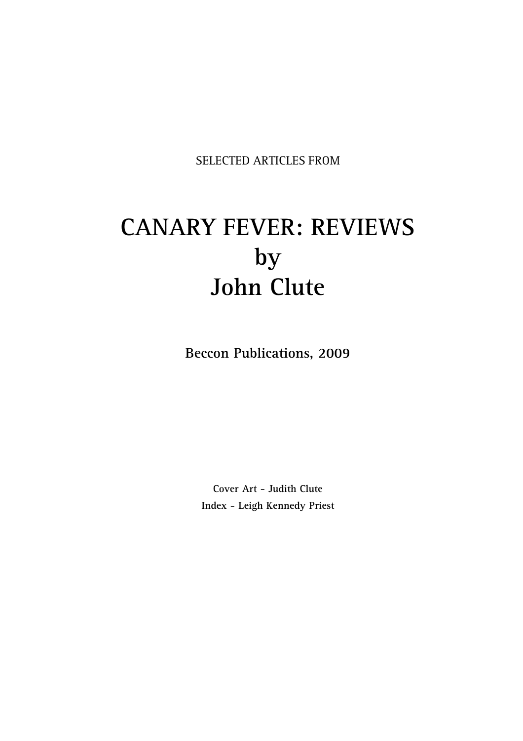SELECTED ARTICLES FROM

# **CANARY FEVER: REVIEWS by John Clute**

**Beccon Publications, 2009**

**Cover Art - Judith Clute Index - Leigh Kennedy Priest**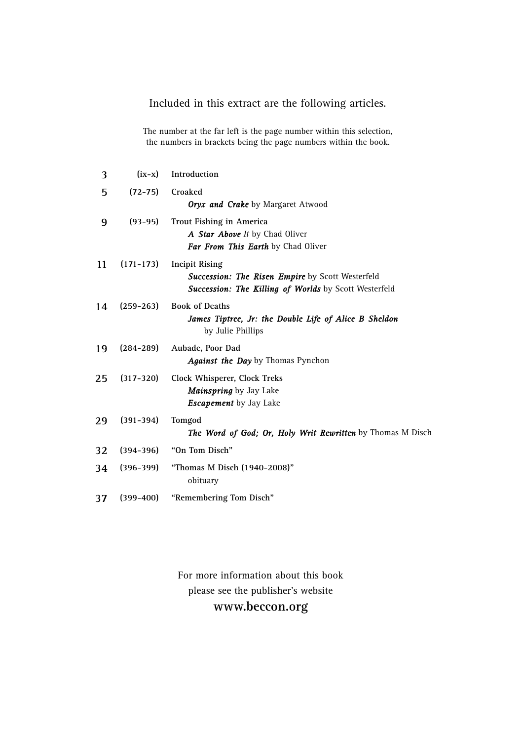# Included in this extract are the following articles.

The number at the far left is the page number within this selection, the numbers in brackets being the page numbers within the book.

| 3  | $(ix-x)$      | Introduction                                                                                                                              |
|----|---------------|-------------------------------------------------------------------------------------------------------------------------------------------|
| 5  | $(72 - 75)$   | Croaked<br><b>Oryx and Crake</b> by Margaret Atwood                                                                                       |
| 9  | $(93-95)$     | <b>Trout Fishing in America</b><br>A Star Above It by Chad Oliver<br>Far From This Earth by Chad Oliver                                   |
| 11 | $(171 - 173)$ | <b>Incipit Rising</b><br><b>Succession: The Risen Empire by Scott Westerfeld</b><br>Succession: The Killing of Worlds by Scott Westerfeld |
| 14 | $(259 - 263)$ | <b>Book of Deaths</b><br>James Tiptree, Jr: the Double Life of Alice B Sheldon<br>by Julie Phillips                                       |
| 19 | $(284 - 289)$ | Aubade, Poor Dad<br><b>Against the Day</b> by Thomas Pynchon                                                                              |
| 25 | $(317 - 320)$ | Clock Whisperer, Clock Treks<br><b>Mainspring</b> by Jay Lake<br><b>Escapement</b> by Jay Lake                                            |
| 29 | $(391 - 394)$ | Tomgod<br><b>The Word of God; Or, Holy Writ Rewritten</b> by Thomas M Disch                                                               |
| 32 | $(394 - 396)$ | "On Tom Disch"                                                                                                                            |
| 34 | $(396 - 399)$ | "Thomas M Disch (1940-2008)"<br>obituary                                                                                                  |
| 37 | $(399 - 400)$ | "Remembering Tom Disch"                                                                                                                   |

For more information about this book please see the publisher's website **www.beccon.org**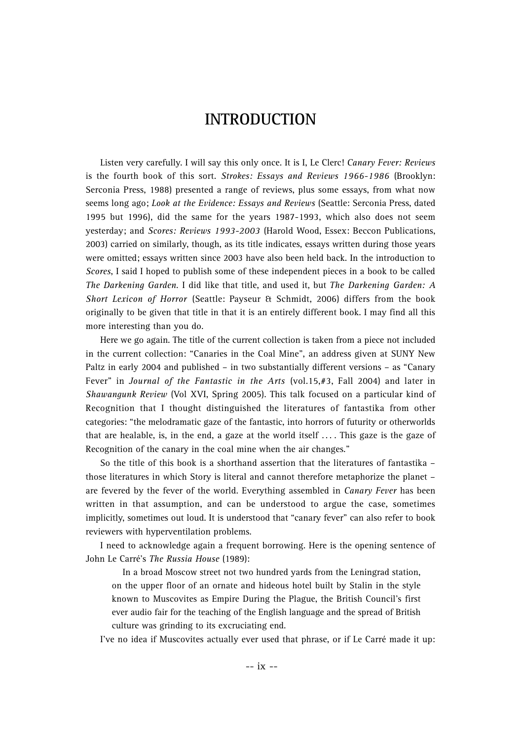# **INTRODUCTION**

Listen very carefully. I will say this only once. It is I, Le Clerc! *Canary Fever: Reviews* is the fourth book of this sort. *Strokes: Essays and Reviews 1966-1986* (Brooklyn: Serconia Press, 1988) presented a range of reviews, plus some essays, from what now seems long ago; *Look at the Evidence: Essays and Reviews* (Seattle: Serconia Press, dated 1995 but 1996), did the same for the years 1987-1993, which also does not seem yesterday; and *Scores: Reviews 1993-2003* (Harold Wood, Essex: Beccon Publications, 2003) carried on similarly, though, as its title indicates, essays written during those years were omitted; essays written since 2003 have also been held back. In the introduction to *Scores*, I said I hoped to publish some of these independent pieces in a book to be called *The Darkening Garden*. I did like that title, and used it, but *The Darkening Garden: A Short Lexicon of Horror* (Seattle: Payseur & Schmidt, 2006) differs from the book originally to be given that title in that it is an entirely different book. I may find all this more interesting than you do.

Here we go again. The title of the current collection is taken from a piece not included in the current collection: "Canaries in the Coal Mine", an address given at SUNY New Paltz in early 2004 and published – in two substantially different versions – as "Canary Fever" in *Journal of the Fantastic in the Arts* (vol.15,#3, Fall 2004) and later in *Shawangunk Review* (Vol XVI, Spring 2005). This talk focused on a particular kind of Recognition that I thought distinguished the literatures of fantastika from other categories: "the melodramatic gaze of the fantastic, into horrors of futurity or otherworlds that are healable, is, in the end, a gaze at the world itself  $\ldots$ . This gaze is the gaze of Recognition of the canary in the coal mine when the air changes."

So the title of this book is a shorthand assertion that the literatures of fantastika – those literatures in which Story is literal and cannot therefore metaphorize the planet – are fevered by the fever of the world. Everything assembled in *Canary Fever* has been written in that assumption, and can be understood to argue the case, sometimes implicitly, sometimes out loud. It is understood that "canary fever" can also refer to book reviewers with hyperventilation problems.

I need to acknowledge again a frequent borrowing. Here is the opening sentence of John Le Carré's *The Russia House* (1989):

In a broad Moscow street not two hundred yards from the Leningrad station, on the upper floor of an ornate and hideous hotel built by Stalin in the style known to Muscovites as Empire During the Plague, the British Council's first ever audio fair for the teaching of the English language and the spread of British culture was grinding to its excruciating end.

I've no idea if Muscovites actually ever used that phrase, or if Le Carré made it up: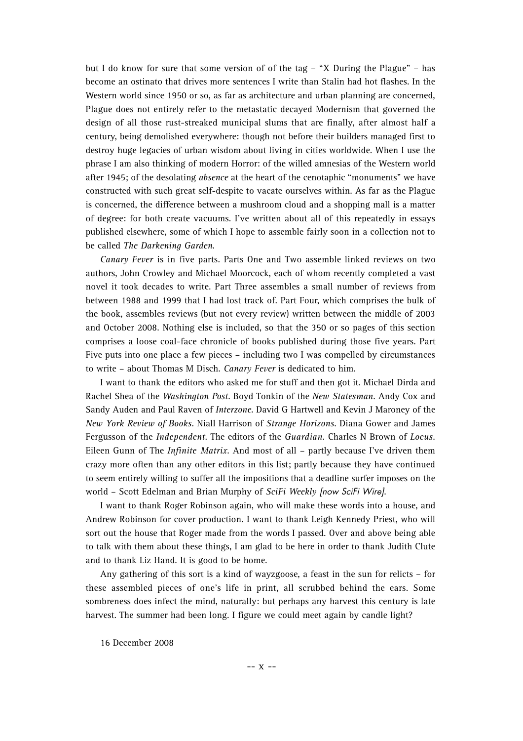but I do know for sure that some version of of the tag – "X During the Plague" – has become an ostinato that drives more sentences I write than Stalin had hot flashes. In the Western world since 1950 or so, as far as architecture and urban planning are concerned, Plague does not entirely refer to the metastatic decayed Modernism that governed the design of all those rust-streaked municipal slums that are finally, after almost half a century, being demolished everywhere: though not before their builders managed first to destroy huge legacies of urban wisdom about living in cities worldwide. When I use the phrase I am also thinking of modern Horror: of the willed amnesias of the Western world after 1945; of the desolating *absence* at the heart of the cenotaphic "monuments" we have constructed with such great self-despite to vacate ourselves within. As far as the Plague is concerned, the difference between a mushroom cloud and a shopping mall is a matter of degree: for both create vacuums. I've written about all of this repeatedly in essays published elsewhere, some of which I hope to assemble fairly soon in a collection not to be called *The Darkening Garden*.

*Canary Fever* is in five parts. Parts One and Two assemble linked reviews on two authors, John Crowley and Michael Moorcock, each of whom recently completed a vast novel it took decades to write. Part Three assembles a small number of reviews from between 1988 and 1999 that I had lost track of. Part Four, which comprises the bulk of the book, assembles reviews (but not every review) written between the middle of 2003 and October 2008. Nothing else is included, so that the 350 or so pages of this section comprises a loose coal-face chronicle of books published during those five years. Part Five puts into one place a few pieces – including two I was compelled by circumstances to write – about Thomas M Disch. *Canary Fever* is dedicated to him.

I want to thank the editors who asked me for stuff and then got it. Michael Dirda and Rachel Shea of the *Washington Post*. Boyd Tonkin of the *New Statesman*. Andy Cox and Sandy Auden and Paul Raven of *Interzone*. David G Hartwell and Kevin J Maroney of the *New York Review of Books*. Niall Harrison of *Strange Horizons*. Diana Gower and James Fergusson of the *Independent*. The editors of the *Guardian*. Charles N Brown of *Locus*. Eileen Gunn of The *Infinite Matrix*. And most of all – partly because I've driven them crazy more often than any other editors in this list; partly because they have continued to seem entirely willing to suffer all the impositions that a deadline surfer imposes on the world – Scott Edelman and Brian Murphy of *SciFi Weekly* [now SciFi Wire].

I want to thank Roger Robinson again, who will make these words into a house, and Andrew Robinson for cover production. I want to thank Leigh Kennedy Priest, who will sort out the house that Roger made from the words I passed. Over and above being able to talk with them about these things, I am glad to be here in order to thank Judith Clute and to thank Liz Hand. It is good to be home.

Any gathering of this sort is a kind of wayzgoose, a feast in the sun for relicts – for these assembled pieces of one's life in print, all scrubbed behind the ears. Some sombreness does infect the mind, naturally: but perhaps any harvest this century is late harvest. The summer had been long. I figure we could meet again by candle light?

16 December 2008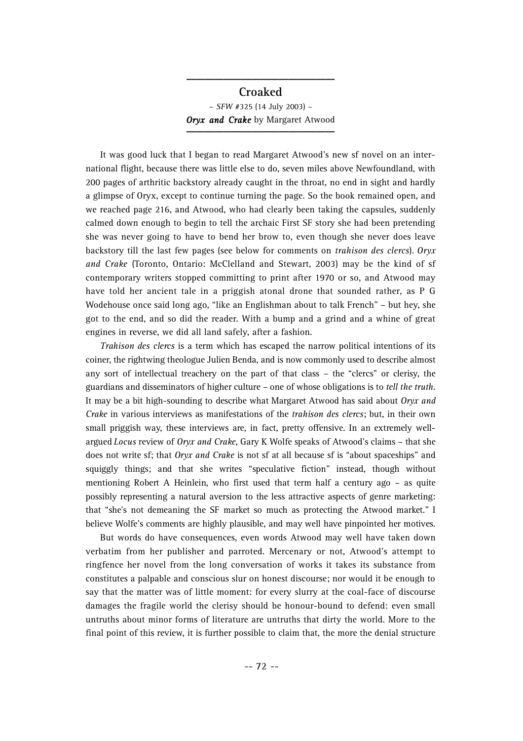# **Croaked** – *SFW* #325 (14 July 2003) – **Oryx and Crake** by Margaret Atwood

**\_\_\_\_\_\_\_\_\_\_\_\_\_\_\_\_**

It was good luck that I began to read Margaret Atwood's new sf novel on an international flight, because there was little else to do, seven miles above Newfoundland, with 200 pages of arthritic backstory already caught in the throat, no end in sight and hardly a glimpse of Oryx, except to continue turning the page. So the book remained open, and we reached page 216, and Atwood, who had clearly been taking the capsules, suddenly calmed down enough to begin to tell the archaic First SF story she had been pretending she was never going to have to bend her brow to, even though she never does leave backstory till the last few pages (see below for comments on *trahison des clercs*). *Oryx and Crake* (Toronto, Ontario: McClelland and Stewart, 2003) may be the kind of sf contemporary writers stopped committing to print after 1970 or so, and Atwood may have told her ancient tale in a priggish atonal drone that sounded rather, as P G Wodehouse once said long ago, "like an Englishman about to talk French" – but hey, she got to the end, and so did the reader. With a bump and a grind and a whine of great engines in reverse, we did all land safely, after a fashion.

*Trahison des clercs* is a term which has escaped the narrow political intentions of its coiner, the rightwing theologue Julien Benda, and is now commonly used to describe almost any sort of intellectual treachery on the part of that class – the "clercs" or clerisy, the guardians and disseminators of higher culture – one of whose obligations is to *tell the truth*. It may be a bit high-sounding to describe what Margaret Atwood has said about *Oryx and Crake* in various interviews as manifestations of the *trahison des clercs*; but, in their own small priggish way, these interviews are, in fact, pretty offensive. In an extremely wellargued *Locus* review of *Oryx and Crake*, Gary K Wolfe speaks of Atwood's claims - that she does not write sf; that *Oryx and Crake* is not sf at all because sf is "about spaceships" and squiggly things; and that she writes "speculative fiction" instead, though without mentioning Robert A Heinlein, who first used that term half a century ago – as quite possibly representing a natural aversion to the less attractive aspects of genre marketing: that "she's not demeaning the SF market so much as protecting the Atwood market." I believe Wolfe's comments are highly plausible, and may well have pinpointed her motives.

But words do have consequences, even words Atwood may well have taken down verbatim from her publisher and parroted. Mercenary or not, Atwood's attempt to ringfence her novel from the long conversation of works it takes its substance from constitutes a palpable and conscious slur on honest discourse; nor would it be enough to say that the matter was of little moment: for every slurry at the coal-face of discourse damages the fragile world the clerisy should be honour-bound to defend: even small untruths about minor forms of literature are untruths that dirty the world. More to the final point of this review, it is further possible to claim that, the more the denial structure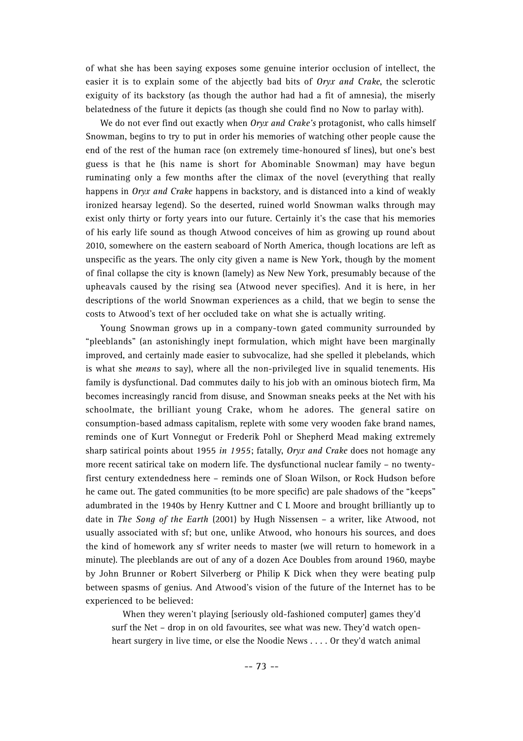of what she has been saying exposes some genuine interior occlusion of intellect, the easier it is to explain some of the abjectly bad bits of *Oryx and Crake*, the sclerotic exiguity of its backstory (as though the author had had a fit of amnesia), the miserly belatedness of the future it depicts (as though she could find no Now to parlay with).

We do not ever find out exactly when *Oryx and Crake's* protagonist, who calls himself Snowman, begins to try to put in order his memories of watching other people cause the end of the rest of the human race (on extremely time-honoured sf lines), but one's best guess is that he (his name is short for Abominable Snowman) may have begun ruminating only a few months after the climax of the novel (everything that really happens in *Oryx and Crake* happens in backstory, and is distanced into a kind of weakly ironized hearsay legend). So the deserted, ruined world Snowman walks through may exist only thirty or forty years into our future. Certainly it's the case that his memories of his early life sound as though Atwood conceives of him as growing up round about 2010, somewhere on the eastern seaboard of North America, though locations are left as unspecific as the years. The only city given a name is New York, though by the moment of final collapse the city is known (lamely) as New New York, presumably because of the upheavals caused by the rising sea (Atwood never specifies). And it is here, in her descriptions of the world Snowman experiences as a child, that we begin to sense the costs to Atwood's text of her occluded take on what she is actually writing.

Young Snowman grows up in a company-town gated community surrounded by "pleeblands" (an astonishingly inept formulation, which might have been marginally improved, and certainly made easier to subvocalize, had she spelled it plebelands, which is what she *means* to say), where all the non-privileged live in squalid tenements. His family is dysfunctional. Dad commutes daily to his job with an ominous biotech firm, Ma becomes increasingly rancid from disuse, and Snowman sneaks peeks at the Net with his schoolmate, the brilliant young Crake, whom he adores. The general satire on consumption-based admass capitalism, replete with some very wooden fake brand names, reminds one of Kurt Vonnegut or Frederik Pohl or Shepherd Mead making extremely sharp satirical points about 1955 *in 1955*; fatally, *Oryx and Crake* does not homage any more recent satirical take on modern life. The dysfunctional nuclear family – no twentyfirst century extendedness here – reminds one of Sloan Wilson, or Rock Hudson before he came out. The gated communities (to be more specific) are pale shadows of the "keeps" adumbrated in the 1940s by Henry Kuttner and C L Moore and brought brilliantly up to date in *The Song of the Earth* (2001) by Hugh Nissensen – a writer, like Atwood, not usually associated with sf; but one, unlike Atwood, who honours his sources, and does the kind of homework any sf writer needs to master (we will return to homework in a minute). The pleeblands are out of any of a dozen Ace Doubles from around 1960, maybe by John Brunner or Robert Silverberg or Philip K Dick when they were beating pulp between spasms of genius. And Atwood's vision of the future of the Internet has to be experienced to be believed:

When they weren't playing [seriously old-fashioned computer] games they'd surf the Net – drop in on old favourites, see what was new. They'd watch openheart surgery in live time, or else the Noodie News . . . . Or they'd watch animal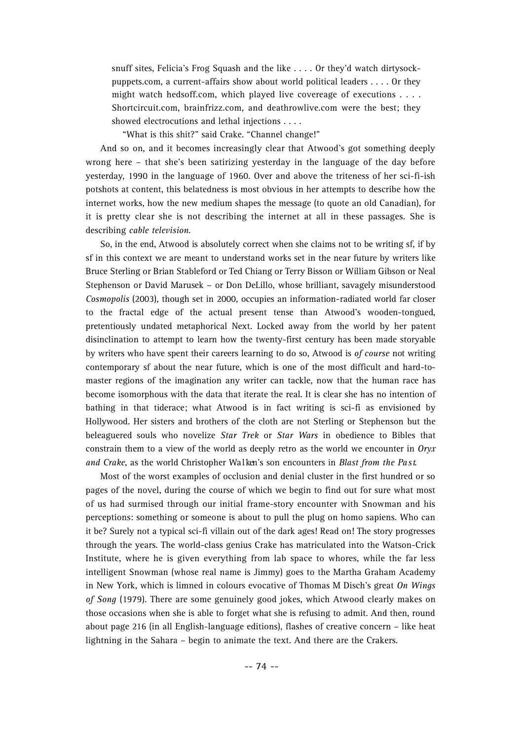snuff sites, Felicia's Frog Squash and the like . . . . Or they'd watch dirtysockpuppets.com, a current-affairs show about world political leaders . . . . Or they might watch hedsoff.com, which played live covereage of executions . . . . Shortcircuit.com, brainfrizz.com, and deathrowlive.com were the best; they showed electrocutions and lethal injections . . . .

"What is this shit?" said Crake. "Channel change!"

And so on, and it becomes increasingly clear that Atwood's got something deeply wrong here – that she's been satirizing yesterday in the language of the day before yesterday, 1990 in the language of 1960. Over and above the triteness of her sci-fi-ish potshots at content, this belatedness is most obvious in her attempts to describe how the internet works, how the new medium shapes the message (to quote an old Canadian), for it is pretty clear she is not describing the internet at all in these passages. She is describing *cable television*.

So, in the end, Atwood is absolutely correct when she claims not to be writing sf, if by sf in this context we are meant to understand works set in the near future by writers like Bruce Sterling or Brian Stableford or Ted Chiang or Terry Bisson or William Gibson or Neal Stephenson or David Marusek – or Don DeLillo, whose brilliant, savagely misunderstood *Cosmopolis* (2003), though set in 2000, occupies an information-radiated world far closer to the fractal edge of the actual present tense than Atwood's wooden-tongued, pretentiously undated metaphorical Next. Locked away from the world by her patent disinclination to attempt to learn how the twenty-first century has been made storyable by writers who have spent their careers learning to do so, Atwood is *of course* not writing contemporary sf about the near future, which is one of the most difficult and hard-tomaster regions of the imagination any writer can tackle, now that the human race has become isomorphous with the data that iterate the real. It is clear she has no intention of bathing in that tiderace; what Atwood is in fact writing is sci-fi as envisioned by Hollywood. Her sisters and brothers of the cloth are not Sterling or Stephenson but the beleaguered souls who novelize *Star Trek* or *Star Wars* in obedience to Bibles that constrain them to a view of the world as deeply retro as the world we encounter in *Oryx and Crake*, as the world Christopher Wa l ken's son encounters in *Blast from the Pa s t*.

Most of the worst examples of occlusion and denial cluster in the first hundred or so pages of the novel, during the course of which we begin to find out for sure what most of us had surmised through our initial frame-story encounter with Snowman and his perceptions: something or someone is about to pull the plug on homo sapiens. Who can it be? Surely not a typical sci-fi villain out of the dark ages! Read on! The story progresses through the years. The world-class genius Crake has matriculated into the Watson-Crick Institute, where he is given everything from lab space to whores, while the far less intelligent Snowman (whose real name is Jimmy) goes to the Martha Graham Academy in New York, which is limned in colours evocative of Thomas M Disch's great *On Wings of Song* (1979). There are some genuinely good jokes, which Atwood clearly makes on those occasions when she is able to forget what she is refusing to admit. And then, round about page 216 (in all English-language editions), flashes of creative concern – like heat lightning in the Sahara – begin to animate the text. And there are the Crakers.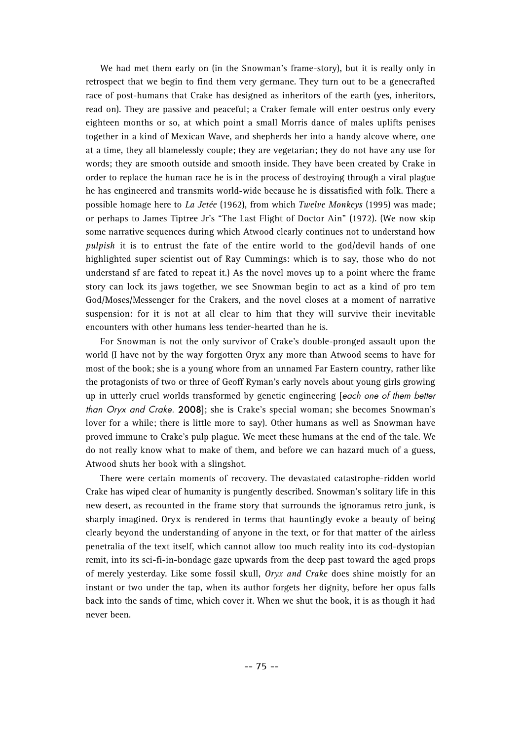We had met them early on (in the Snowman's frame-story), but it is really only in retrospect that we begin to find them very germane. They turn out to be a genecrafted race of post-humans that Crake has designed as inheritors of the earth (yes, inheritors, read on). They are passive and peaceful; a Craker female will enter oestrus only every eighteen months or so, at which point a small Morris dance of males uplifts penises together in a kind of Mexican Wave, and shepherds her into a handy alcove where, one at a time, they all blamelessly couple; they are vegetarian; they do not have any use for words; they are smooth outside and smooth inside. They have been created by Crake in order to replace the human race he is in the process of destroying through a viral plague he has engineered and transmits world-wide because he is dissatisfied with folk. There a possible homage here to *La Jetée* (1962), from which *Twelve Monkeys* (1995) was made; or perhaps to James Tiptree Jr's "The Last Flight of Doctor Ain" (1972). (We now skip some narrative sequences during which Atwood clearly continues not to understand how *pulpish* it is to entrust the fate of the entire world to the god/devil hands of one highlighted super scientist out of Ray Cummings: which is to say, those who do not understand sf are fated to repeat it.) As the novel moves up to a point where the frame story can lock its jaws together, we see Snowman begin to act as a kind of pro tem God/Moses/Messenger for the Crakers, and the novel closes at a moment of narrative suspension: for it is not at all clear to him that they will survive their inevitable encounters with other humans less tender-hearted than he is.

For Snowman is not the only survivor of Crake's double-pronged assault upon the world (I have not by the way forgotten Oryx any more than Atwood seems to have for most of the book; she is a young whore from an unnamed Far Eastern country, rather like the protagonists of two or three of Geoff Ryman's early novels about young girls growing up in utterly cruel worlds transformed by genetic engineering [each one of them better than Oryx and Crake. 2008]; she is Crake's special woman; she becomes Snowman's lover for a while; there is little more to say). Other humans as well as Snowman have proved immune to Crake's pulp plague. We meet these humans at the end of the tale. We do not really know what to make of them, and before we can hazard much of a guess, Atwood shuts her book with a slingshot.

There were certain moments of recovery. The devastated catastrophe-ridden world Crake has wiped clear of humanity is pungently described. Snowman's solitary life in this new desert, as recounted in the frame story that surrounds the ignoramus retro junk, is sharply imagined. Oryx is rendered in terms that hauntingly evoke a beauty of being clearly beyond the understanding of anyone in the text, or for that matter of the airless penetralia of the text itself, which cannot allow too much reality into its cod-dystopian remit, into its sci-fi-in-bondage gaze upwards from the deep past toward the aged props of merely yesterday. Like some fossil skull, *Oryx and Crake* does shine moistly for an instant or two under the tap, when its author forgets her dignity, before her opus falls back into the sands of time, which cover it. When we shut the book, it is as though it had never been.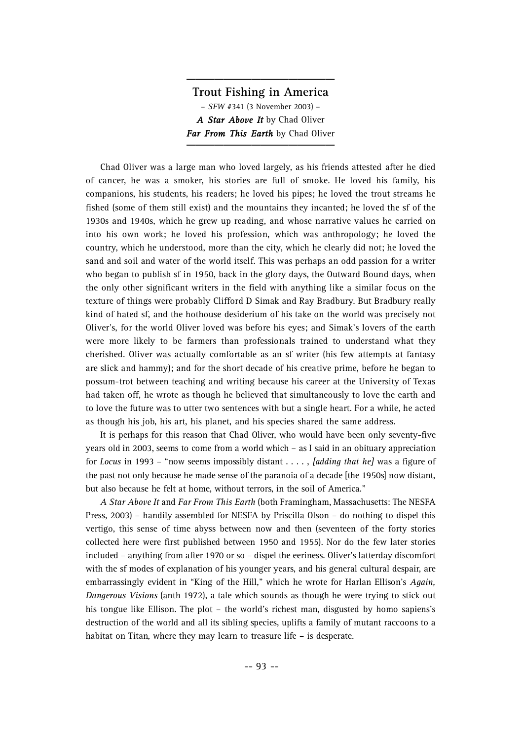# **Trout Fishing in America** – *SFW* #341 (3 November 2003) – *A Star Above It* by Chad Oliver *Far From This Earth* by Chad Oliver

**\_\_\_\_\_\_\_\_\_\_\_\_\_\_\_\_**

Chad Oliver was a large man who loved largely, as his friends attested after he died of cancer, he was a smoker, his stories are full of smoke. He loved his family, his companions, his students, his readers; he loved his pipes; he loved the trout streams he fished (some of them still exist) and the mountains they incanted; he loved the sf of the 1930s and 1940s, which he grew up reading, and whose narrative values he carried on into his own work; he loved his profession, which was anthropology; he loved the country, which he understood, more than the city, which he clearly did not; he loved the sand and soil and water of the world itself. This was perhaps an odd passion for a writer who began to publish sf in 1950, back in the glory days, the Outward Bound days, when the only other significant writers in the field with anything like a similar focus on the texture of things were probably Clifford D Simak and Ray Bradbury. But Bradbury really kind of hated sf, and the hothouse desiderium of his take on the world was precisely not Oliver's, for the world Oliver loved was before his eyes; and Simak's lovers of the earth were more likely to be farmers than professionals trained to understand what they cherished. Oliver was actually comfortable as an sf writer (his few attempts at fantasy are slick and hammy); and for the short decade of his creative prime, before he began to possum-trot between teaching and writing because his career at the University of Texas had taken off, he wrote as though he believed that simultaneously to love the earth and to love the future was to utter two sentences with but a single heart. For a while, he acted as though his job, his art, his planet, and his species shared the same address.

It is perhaps for this reason that Chad Oliver, who would have been only seventy-five years old in 2003, seems to come from a world which – as I said in an obituary appreciation for *L o c u s* in 1993 – "now seems impossibly distant . . . . , *[adding that he]* was a figure of the past not only because he made sense of the paranoia of a decade [the 1950s] now distant, but also because he felt at home, without terrors, in the soil of America."

*A Star Above It* and *Far From This Earth* (both Framingham, Massachusetts: The NESFA Press, 2003) – handily assembled for NESFA by Priscilla Olson – do nothing to dispel this vertigo, this sense of time abyss between now and then (seventeen of the forty stories collected here were first published between 1950 and 1955). Nor do the few later stories included – anything from after 1970 or so – dispel the eeriness. Oliver's latterday discomfort with the sf modes of explanation of his younger years, and his general cultural despair, are embarrassingly evident in "King of the Hill," which he wrote for Harlan Ellison's *Again*, *Dangerous Visions* (anth 1972), a tale which sounds as though he were trying to stick out his tongue like Ellison. The plot – the world's richest man, disgusted by homo sapiens's destruction of the world and all its sibling species, uplifts a family of mutant raccoons to a habitat on Titan, where they may learn to treasure life – is desperate.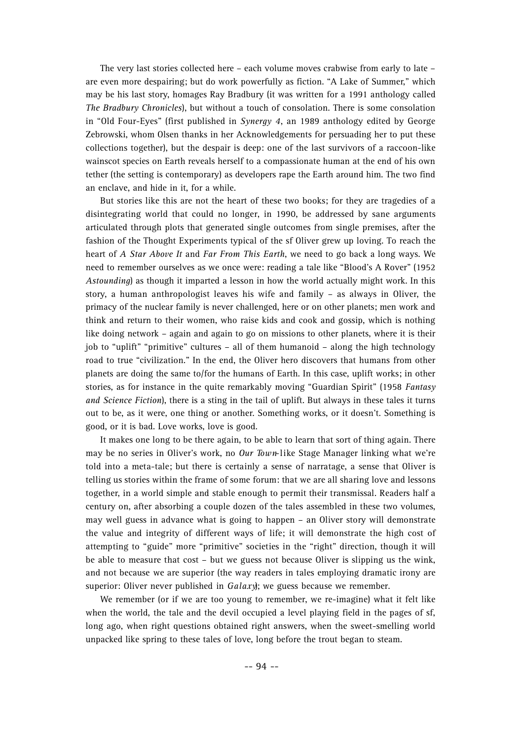The very last stories collected here – each volume moves crabwise from early to late – are even more despairing; but do work powerfully as fiction. "A Lake of Summer," which may be his last story, homages Ray Bradbury (it was written for a 1991 anthology called *The Bradbury Chronicles*), but without a touch of consolation. There is some consolation in "Old Four-Eyes" (first published in *Synergy 4*, an 1989 anthology edited by George Zebrowski, whom Olsen thanks in her Acknowledgements for persuading her to put these collections together), but the despair is deep: one of the last survivors of a raccoon-like wainscot species on Earth reveals herself to a compassionate human at the end of his own tether (the setting is contemporary) as developers rape the Earth around him. The two find an enclave, and hide in it, for a while.

But stories like this are not the heart of these two books; for they are tragedies of a disintegrating world that could no longer, in 1990, be addressed by sane arguments articulated through plots that generated single outcomes from single premises, after the fashion of the Thought Experiments typical of the sf Oliver grew up loving. To reach the heart of *A Star Above It* and *Far From This Earth*, we need to go back a long ways. We need to remember ourselves as we once were: reading a tale like "Blood's A Rover" (1952 *Astounding*) as though it imparted a lesson in how the world actually might work. In this story, a human anthropologist leaves his wife and family – as always in Oliver, the primacy of the nuclear family is never challenged, here or on other planets; men work and think and return to their women, who raise kids and cook and gossip, which is nothing like doing network – again and again to go on missions to other planets, where it is their job to "uplift" "primitive" cultures – all of them humanoid – along the high technology road to true "civilization." In the end, the Oliver hero discovers that humans from other planets are doing the same to/for the humans of Earth. In this case, uplift works; in other stories, as for instance in the quite remarkably moving "Guardian Spirit" (1958 *Fantasy and Science Fiction*), there is a sting in the tail of uplift. But always in these tales it turns out to be, as it were, one thing or another. Something works, or it doesn't. Something is good, or it is bad. Love works, love is good.

It makes one long to be there again, to be able to learn that sort of thing again. There may be no series in Oliver's work, no *Our Town*-like Stage Manager linking what we're told into a meta-tale; but there is certainly a sense of narratage, a sense that Oliver is telling us stories within the frame of some forum: that we are all sharing love and lessons together, in a world simple and stable enough to permit their transmissal. Readers half a century on, after absorbing a couple dozen of the tales assembled in these two volumes, may well guess in advance what is going to happen – an Oliver story will demonstrate the value and integrity of different ways of life; it will demonstrate the high cost of attempting to "guide" more "primitive" societies in the "right" direction, though it will be able to measure that cost – but we guess not because Oliver is slipping us the wink, and not because we are superior (the way readers in tales employing dramatic irony are superior: Oliver never published in *Galaxy*); we guess because we remember.

We remember (or if we are too young to remember, we re-imagine) what it felt like when the world, the tale and the devil occupied a level playing field in the pages of sf, long ago, when right questions obtained right answers, when the sweet-smelling world unpacked like spring to these tales of love, long before the trout began to steam.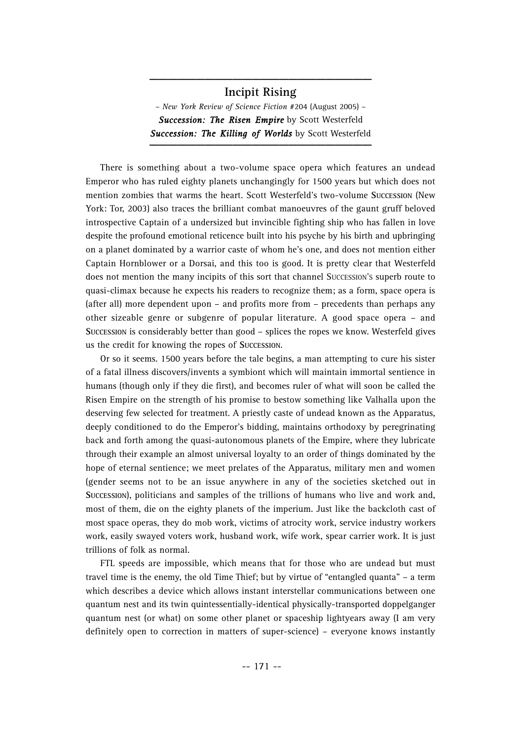#### **Incipit Rising**

**\_\_\_\_\_\_\_\_\_\_\_\_\_\_\_\_\_\_\_\_\_\_\_\_**

– *New York Review of Science Fiction* #204 (August 2005) – *Succession: The Risen Empire* by Scott Westerfeld **Succession: The Killing of Worlds** by Scott Westerfeld

There is something about a two-volume space opera which features an undead Emperor who has ruled eighty planets unchangingly for 1500 years but which does not mention zombies that warms the heart. Scott Westerfeld's two-volume **SUCCESSION** (New York: Tor, 2003) also traces the brilliant combat manoeuvres of the gaunt gruff beloved introspective Captain of a undersized but invincible fighting ship who has fallen in love despite the profound emotional reticence built into his psyche by his birth and upbringing on a planet dominated by a warrior caste of whom he's one, and does not mention either Captain Hornblower or a Dorsai, and this too is good. It is pretty clear that Westerfeld does not mention the many incipits of this sort that channel SUCCESSION'S superb route to quasi-climax because he expects his readers to recognize them; as a form, space opera is (after all) more dependent upon – and profits more from – precedents than perhaps any other sizeable genre or subgenre of popular literature. A good space opera – and **SUCCESSION** is considerably better than good – splices the ropes we know. Westerfeld gives us the credit for knowing the ropes of **SUCCESSION**.

Or so it seems. 1500 years before the tale begins, a man attempting to cure his sister of a fatal illness discovers/invents a symbiont which will maintain immortal sentience in humans (though only if they die first), and becomes ruler of what will soon be called the Risen Empire on the strength of his promise to bestow something like Valhalla upon the deserving few selected for treatment. A priestly caste of undead known as the Apparatus, deeply conditioned to do the Emperor's bidding, maintains orthodoxy by peregrinating back and forth among the quasi-autonomous planets of the Empire, where they lubricate through their example an almost universal loyalty to an order of things dominated by the hope of eternal sentience; we meet prelates of the Apparatus, military men and women (gender seems not to be an issue anywhere in any of the societies sketched out in **SUCCESSION**), politicians and samples of the trillions of humans who live and work and, most of them, die on the eighty planets of the imperium. Just like the backcloth cast of most space operas, they do mob work, victims of atrocity work, service industry workers work, easily swayed voters work, husband work, wife work, spear carrier work. It is just trillions of folk as normal.

FTL speeds are impossible, which means that for those who are undead but must travel time is the enemy, the old Time Thief; but by virtue of "entangled quanta" – a term which describes a device which allows instant interstellar communications between one quantum nest and its twin quintessentially-identical physically-transported doppelganger quantum nest (or what) on some other planet or spaceship lightyears away (I am very definitely open to correction in matters of super-science) – everyone knows instantly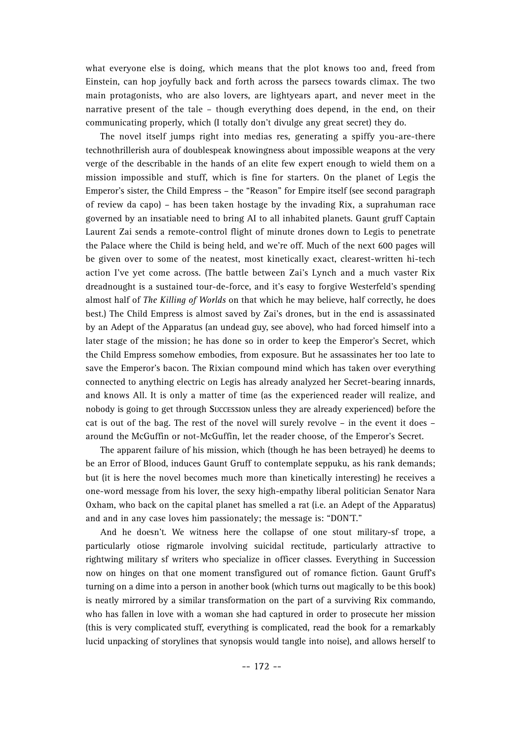what everyone else is doing, which means that the plot knows too and, freed from Einstein, can hop joyfully back and forth across the parsecs towards climax. The two main protagonists, who are also lovers, are lightyears apart, and never meet in the narrative present of the tale – though everything does depend, in the end, on their communicating properly, which (I totally don't divulge any great secret) they do.

The novel itself jumps right into medias res, generating a spiffy you-are-there technothrillerish aura of doublespeak knowingness about impossible weapons at the very verge of the describable in the hands of an elite few expert enough to wield them on a mission impossible and stuff, which is fine for starters. On the planet of Legis the Emperor's sister, the Child Empress – the "Reason" for Empire itself (see second paragraph of review da capo) – has been taken hostage by the invading Rix, a suprahuman race governed by an insatiable need to bring AI to all inhabited planets. Gaunt gruff Captain Laurent Zai sends a remote-control flight of minute drones down to Legis to penetrate the Palace where the Child is being held, and we're off. Much of the next 600 pages will be given over to some of the neatest, most kinetically exact, clearest-written hi-tech action I've yet come across. (The battle between Zai's Lynch and a much vaster Rix dreadnought is a sustained tour-de-force, and it's easy to forgive Westerfeld's spending almost half of *The Killing of Worlds* on that which he may believe, half correctly, he does best.) The Child Empress is almost saved by Zai's drones, but in the end is assassinated by an Adept of the Apparatus (an undead guy, see above), who had forced himself into a later stage of the mission; he has done so in order to keep the Emperor's Secret, which the Child Empress somehow embodies, from exposure. But he assassinates her too late to save the Emperor's bacon. The Rixian compound mind which has taken over everything connected to anything electric on Legis has already analyzed her Secret-bearing innards, and knows All. It is only a matter of time (as the experienced reader will realize, and nobody is going to get through **SUCCESSION** unless they are already experienced) before the cat is out of the bag. The rest of the novel will surely revolve – in the event it does – around the McGuffin or not-McGuffin, let the reader choose, of the Emperor's Secret.

The apparent failure of his mission, which (though he has been betrayed) he deems to be an Error of Blood, induces Gaunt Gruff to contemplate seppuku, as his rank demands; but (it is here the novel becomes much more than kinetically interesting) he receives a one-word message from his lover, the sexy high-empathy liberal politician Senator Nara Oxham, who back on the capital planet has smelled a rat (i.e. an Adept of the Apparatus) and and in any case loves him passionately; the message is: "DON'T."

And he doesn't. We witness here the collapse of one stout military-sf trope, a particularly otiose rigmarole involving suicidal rectitude, particularly attractive to rightwing military sf writers who specialize in officer classes. Everything in Succession now on hinges on that one moment transfigured out of romance fiction. Gaunt Gruff's turning on a dime into a person in another book (which turns out magically to be this book) is neatly mirrored by a similar transformation on the part of a surviving Rix commando, who has fallen in love with a woman she had captured in order to prosecute her mission (this is very complicated stuff, everything is complicated, read the book for a remarkably lucid unpacking of storylines that synopsis would tangle into noise), and allows herself to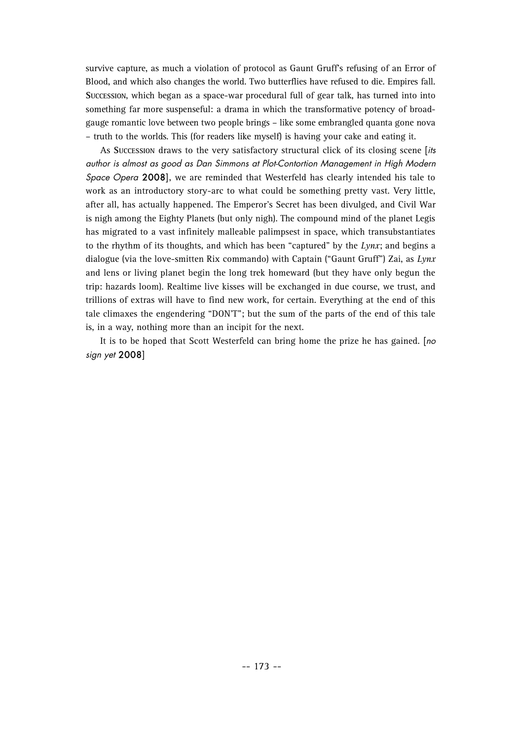survive capture, as much a violation of protocol as Gaunt Gruff's refusing of an Error of Blood, and which also changes the world. Two butterflies have refused to die. Empires fall. Succession, which began as a space-war procedural full of gear talk, has turned into into something far more suspenseful: a drama in which the transformative potency of broadgauge romantic love between two people brings – like some embrangled quanta gone nova – truth to the worlds. This (for readers like myself) is having your cake and eating it.

As **SUCCESSION** draws to the very satisfactory structural click of its closing scene [its author is almost as good as Dan Simmons at Plot-Contortion Management in High Modern Space Opera 2008], we are reminded that Westerfeld has clearly intended his tale to work as an introductory story-arc to what could be something pretty vast. Very little, after all, has actually happened. The Emperor's Secret has been divulged, and Civil War is nigh among the Eighty Planets (but only nigh). The compound mind of the planet Legis has migrated to a vast infinitely malleable palimpsest in space, which transubstantiates to the rhythm of its thoughts, and which has been "captured" by the *Lynx*; and begins a dialogue (via the love-smitten Rix commando) with Captain ("Gaunt Gruff") Zai, as *Lynx* and lens or living planet begin the long trek homeward (but they have only begun the trip: hazards loom). Realtime live kisses will be exchanged in due course, we trust, and trillions of extras will have to find new work, for certain. Everything at the end of this tale climaxes the engendering "DON'T"; but the sum of the parts of the end of this tale is, in a way, nothing more than an incipit for the next.

It is to be hoped that Scott Westerfeld can bring home the prize he has gained. [no sign yet 2008]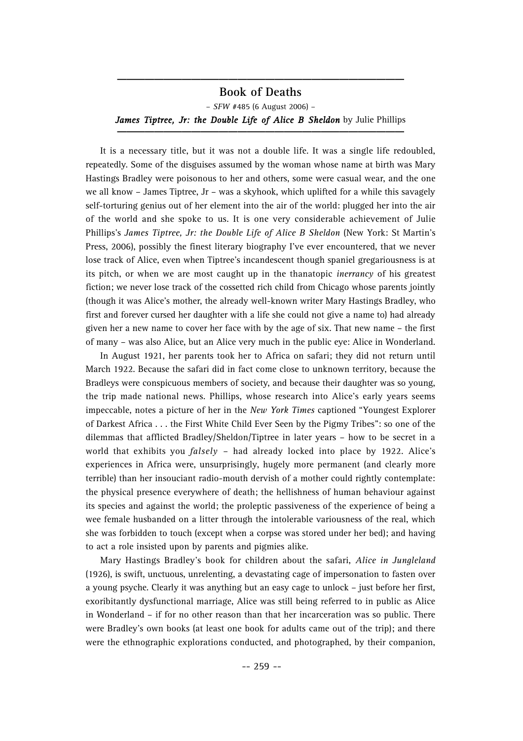#### **Book of Deaths**

**\_\_\_\_\_\_\_\_\_\_\_\_\_\_\_\_\_\_\_\_\_\_\_\_\_\_\_\_\_\_\_**

– *SFW* #485 (6 August 2006) – James Tiptree, Jr: the Double Life of Alice B Sheldon by Julie Phillips

It is a necessary title, but it was not a double life. It was a single life redoubled, repeatedly. Some of the disguises assumed by the woman whose name at birth was Mary Hastings Bradley were poisonous to her and others, some were casual wear, and the one we all know – James Tiptree, Jr – was a skyhook, which uplifted for a while this savagely self-torturing genius out of her element into the air of the world: plugged her into the air of the world and she spoke to us. It is one very considerable achievement of Julie Phillips's *James Tiptree, Jr: the Double Life of Alice B Sheldon* (New York: St Martin's Press, 2006), possibly the finest literary biography I've ever encountered, that we never lose track of Alice, even when Tiptree's incandescent though spaniel gregariousness is at its pitch, or when we are most caught up in the thanatopic *inerrancy* of his greatest fiction; we never lose track of the cossetted rich child from Chicago whose parents jointly (though it was Alice's mother, the already well-known writer Mary Hastings Bradley, who first and forever cursed her daughter with a life she could not give a name to) had already given her a new name to cover her face with by the age of six. That new name – the first of many – was also Alice, but an Alice very much in the public eye: Alice in Wonderland.

In August 1921, her parents took her to Africa on safari; they did not return until March 1922. Because the safari did in fact come close to unknown territory, because the Bradleys were conspicuous members of society, and because their daughter was so young, the trip made national news. Phillips, whose research into Alice's early years seems impeccable, notes a picture of her in the *New York Times* captioned "Youngest Explorer of Darkest Africa . . . the First White Child Ever Seen by the Pigmy Tribes": so one of the dilemmas that afflicted Bradley/Sheldon/Tiptree in later years – how to be secret in a world that exhibits you *falsely* – had already locked into place by 1922. Alice's experiences in Africa were, unsurprisingly, hugely more permanent (and clearly more terrible) than her insouciant radio-mouth dervish of a mother could rightly contemplate: the physical presence everywhere of death; the hellishness of human behaviour against its species and against the world; the proleptic passiveness of the experience of being a wee female husbanded on a litter through the intolerable variousness of the real, which she was forbidden to touch (except when a corpse was stored under her bed); and having to act a role insisted upon by parents and pigmies alike.

Mary Hastings Bradley's book for children about the safari, *Alice in Jungleland* (1926), is swift, unctuous, unrelenting, a devastating cage of impersonation to fasten over a young psyche. Clearly it was anything but an easy cage to unlock – just before her first, exoribitantly dysfunctional marriage, Alice was still being referred to in public as Alice in Wonderland – if for no other reason than that her incarceration was so public. There were Bradley's own books (at least one book for adults came out of the trip); and there were the ethnographic explorations conducted, and photographed, by their companion,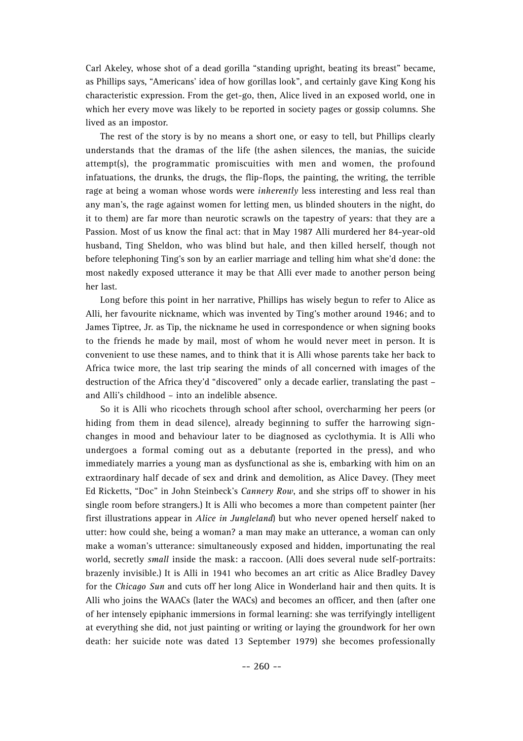Carl Akeley, whose shot of a dead gorilla "standing upright, beating its breast" became, as Phillips says, "Americans' idea of how gorillas look", and certainly gave King Kong his characteristic expression. From the get-go, then, Alice lived in an exposed world, one in which her every move was likely to be reported in society pages or gossip columns. She lived as an impostor.

The rest of the story is by no means a short one, or easy to tell, but Phillips clearly understands that the dramas of the life (the ashen silences, the manias, the suicide attempt(s), the programmatic promiscuities with men and women, the profound infatuations, the drunks, the drugs, the flip-flops, the painting, the writing, the terrible rage at being a woman whose words were *inherently* less interesting and less real than any man's, the rage against women for letting men, us blinded shouters in the night, do it to them) are far more than neurotic scrawls on the tapestry of years: that they are a Passion. Most of us know the final act: that in May 1987 Alli murdered her 84-year-old husband, Ting Sheldon, who was blind but hale, and then killed herself, though not before telephoning Ting's son by an earlier marriage and telling him what she'd done: the most nakedly exposed utterance it may be that Alli ever made to another person being her last.

Long before this point in her narrative, Phillips has wisely begun to refer to Alice as Alli, her favourite nickname, which was invented by Ting's mother around 1946; and to James Tiptree, Jr. as Tip, the nickname he used in correspondence or when signing books to the friends he made by mail, most of whom he would never meet in person. It is convenient to use these names, and to think that it is Alli whose parents take her back to Africa twice more, the last trip searing the minds of all concerned with images of the destruction of the Africa they'd "discovered" only a decade earlier, translating the past – and Alli's childhood – into an indelible absence.

So it is Alli who ricochets through school after school, overcharming her peers (or hiding from them in dead silence), already beginning to suffer the harrowing signchanges in mood and behaviour later to be diagnosed as cyclothymia. It is Alli who undergoes a formal coming out as a debutante (reported in the press), and who immediately marries a young man as dysfunctional as she is, embarking with him on an extraordinary half decade of sex and drink and demolition, as Alice Davey. (They meet Ed Ricketts, "Doc" in John Steinbeck's *Cannery Row*, and she strips off to shower in his single room before strangers.) It is Alli who becomes a more than competent painter (her first illustrations appear in *Alice in Jungleland*) but who never opened herself naked to utter: how could she, being a woman? a man may make an utterance, a woman can only make a woman's utterance: simultaneously exposed and hidden, importunating the real world, secretly *small* inside the mask: a raccoon. (Alli does several nude self-portraits: brazenly invisible.) It is Alli in 1941 who becomes an art critic as Alice Bradley Davey for the *Chicago Sun* and cuts off her long Alice in Wonderland hair and then quits. It is Alli who joins the WAACs (later the WACs) and becomes an officer, and then (after one of her intensely epiphanic immersions in formal learning: she was terrifyingly intelligent at everything she did, not just painting or writing or laying the groundwork for her own death: her suicide note was dated 13 September 1979) she becomes professionally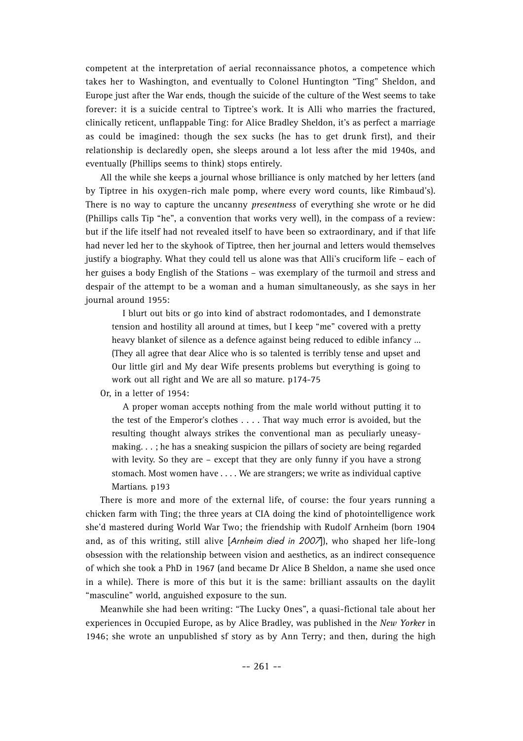competent at the interpretation of aerial reconnaissance photos, a competence which takes her to Washington, and eventually to Colonel Huntington "Ting" Sheldon, and Europe just after the War ends, though the suicide of the culture of the West seems to take forever: it is a suicide central to Tiptree's work. It is Alli who marries the fractured, clinically reticent, unflappable Ting: for Alice Bradley Sheldon, it's as perfect a marriage as could be imagined: though the sex sucks (he has to get drunk first), and their relationship is declaredly open, she sleeps around a lot less after the mid 1940s, and eventually (Phillips seems to think) stops entirely.

All the while she keeps a journal whose brilliance is only matched by her letters (and by Tiptree in his oxygen-rich male pomp, where every word counts, like Rimbaud's). There is no way to capture the uncanny *presentness* of everything she wrote or he did (Phillips calls Tip "he", a convention that works very well), in the compass of a review: but if the life itself had not revealed itself to have been so extraordinary, and if that life had never led her to the skyhook of Tiptree, then her journal and letters would themselves justify a biography. What they could tell us alone was that Alli's cruciform life – each of her guises a body English of the Stations – was exemplary of the turmoil and stress and despair of the attempt to be a woman and a human simultaneously, as she says in her journal around 1955:

I blurt out bits or go into kind of abstract rodomontades, and I demonstrate tension and hostility all around at times, but I keep "me" covered with a pretty heavy blanket of silence as a defence against being reduced to edible infancy … (They all agree that dear Alice who is so talented is terribly tense and upset and Our little girl and My dear Wife presents problems but everything is going to work out all right and We are all so mature. p174-75

Or, in a letter of 1954:

A proper woman accepts nothing from the male world without putting it to the test of the Emperor's clothes . . . . That way much error is avoided, but the resulting thought always strikes the conventional man as peculiarly uneasymaking. . . ; he has a sneaking suspicion the pillars of society are being regarded with levity. So they are – except that they are only funny if you have a strong stomach. Most women have . . . . We are strangers; we write as individual captive Martians. p193

There is more and more of the external life, of course: the four years running a chicken farm with Ting; the three years at CIA doing the kind of photointelligence work she'd mastered during World War Two; the friendship with Rudolf Arnheim (born 1904 and, as of this writing, still alive [Arnheim died in 2007]), who shaped her life-long obsession with the relationship between vision and aesthetics, as an indirect consequence of which she took a PhD in 1967 (and became Dr Alice B Sheldon, a name she used once in a while). There is more of this but it is the same: brilliant assaults on the daylit "masculine" world, anguished exposure to the sun.

Meanwhile she had been writing: "The Lucky Ones", a quasi-fictional tale about her experiences in Occupied Europe, as by Alice Bradley, was published in the *New Yorker* in 1946; she wrote an unpublished sf story as by Ann Terry; and then, during the high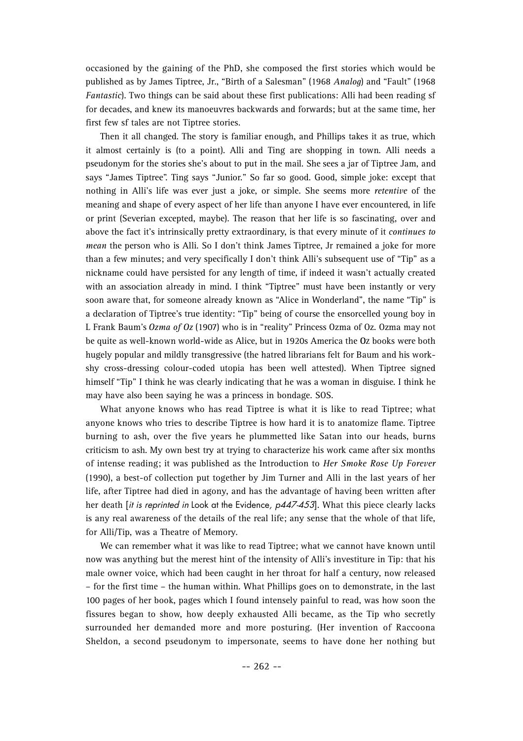occasioned by the gaining of the PhD, she composed the first stories which would be published as by James Tiptree, Jr., "Birth of a Salesman" (1968 *Analog*) and "Fault" (1968 *Fantastic*). Two things can be said about these first publications: Alli had been reading sf for decades, and knew its manoeuvres backwards and forwards; but at the same time, her first few sf tales are not Tiptree stories.

Then it all changed. The story is familiar enough, and Phillips takes it as true, which it almost certainly is (to a point). Alli and Ting are shopping in town. Alli needs a pseudonym for the stories she's about to put in the mail. She sees a jar of Tiptree Jam, and says "James Tiptree". Ting says "Junior." So far so good. Good, simple joke: except that nothing in Alli's life was ever just a joke, or simple. She seems more *retentive* of the meaning and shape of every aspect of her life than anyone I have ever encountered, in life or print (Severian excepted, maybe). The reason that her life is so fascinating, over and above the fact it's intrinsically pretty extraordinary, is that every minute of it *continues to mean* the person who is Alli. So I don't think James Tiptree, Jr remained a joke for more than a few minutes; and very specifically I don't think Alli's subsequent use of "Tip" as a nickname could have persisted for any length of time, if indeed it wasn't actually created with an association already in mind. I think "Tiptree" must have been instantly or very soon aware that, for someone already known as "Alice in Wonderland", the name "Tip" is a declaration of Tiptree's true identity: "Tip" being of course the ensorcelled young boy in L Frank Baum's *Ozma of Oz* (1907) who is in "reality" Princess Ozma of Oz. Ozma may not be quite as well-known world-wide as Alice, but in 1920s America the **OZ** books were both hugely popular and mildly transgressive (the hatred librarians felt for Baum and his workshy cross-dressing colour-coded utopia has been well attested). When Tiptree signed himself "Tip" I think he was clearly indicating that he was a woman in disguise. I think he may have also been saying he was a princess in bondage. SOS.

What anyone knows who has read Tiptree is what it is like to read Tiptree; what anyone knows who tries to describe Tiptree is how hard it is to anatomize flame. Tiptree burning to ash, over the five years he plummetted like Satan into our heads, burns criticism to ash. My own best try at trying to characterize his work came after six months of intense reading; it was published as the Introduction to *Her Smoke Rose Up Forever* (1990), a best-of collection put together by Jim Turner and Alli in the last years of her life, after Tiptree had died in agony, and has the advantage of having been written after her death [it is reprinted in Look at the Evidence, p447-453]. What this piece clearly lacks is any real awareness of the details of the real life; any sense that the whole of that life, for Alli/Tip, was a Theatre of Memory.

We can remember what it was like to read Tiptree; what we cannot have known until now was anything but the merest hint of the intensity of Alli's investiture in Tip: that his male owner voice, which had been caught in her throat for half a century, now released – for the first time – the human within. What Phillips goes on to demonstrate, in the last 100 pages of her book, pages which I found intensely painful to read, was how soon the fissures began to show, how deeply exhausted Alli became, as the Tip who secretly surrounded her demanded more and more posturing. (Her invention of Raccoona Sheldon, a second pseudonym to impersonate, seems to have done her nothing but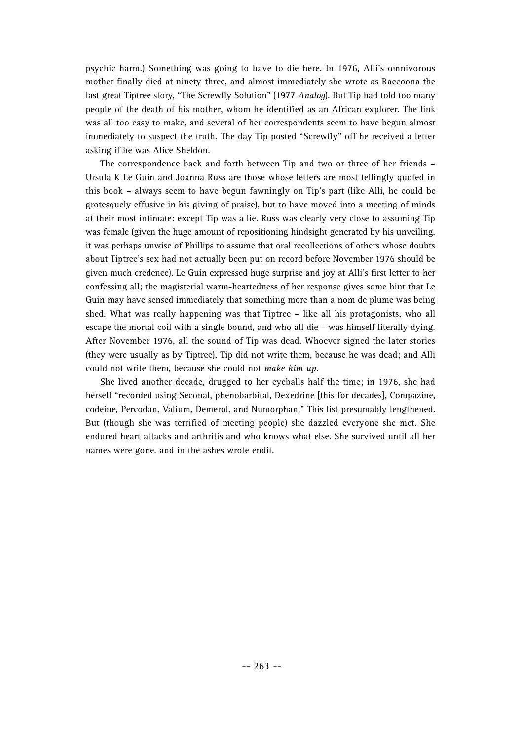psychic harm.) Something was going to have to die here. In 1976, Alli's omnivorous mother finally died at ninety-three, and almost immediately she wrote as Raccoona the last great Tiptree story, "The Screwfly Solution" (1977 *Analog*). But Tip had told too many people of the death of his mother, whom he identified as an African explorer. The link was all too easy to make, and several of her correspondents seem to have begun almost immediately to suspect the truth. The day Tip posted "Screwfly" off he received a letter asking if he was Alice Sheldon.

The correspondence back and forth between Tip and two or three of her friends – Ursula K Le Guin and Joanna Russ are those whose letters are most tellingly quoted in this book – always seem to have begun fawningly on Tip's part (like Alli, he could be grotesquely effusive in his giving of praise), but to have moved into a meeting of minds at their most intimate: except Tip was a lie. Russ was clearly very close to assuming Tip was female (given the huge amount of repositioning hindsight generated by his unveiling, it was perhaps unwise of Phillips to assume that oral recollections of others whose doubts about Tiptree's sex had not actually been put on record before November 1976 should be given much credence). Le Guin expressed huge surprise and joy at Alli's first letter to her confessing all; the magisterial warm-heartedness of her response gives some hint that Le Guin may have sensed immediately that something more than a nom de plume was being shed. What was really happening was that Tiptree – like all his protagonists, who all escape the mortal coil with a single bound, and who all die – was himself literally dying. After November 1976, all the sound of Tip was dead. Whoever signed the later stories (they were usually as by Tiptree), Tip did not write them, because he was dead; and Alli could not write them, because she could not *make him up*.

She lived another decade, drugged to her eyeballs half the time; in 1976, she had herself "recorded using Seconal, phenobarbital, Dexedrine [this for decades], Compazine, codeine, Percodan, Valium, Demerol, and Numorphan." This list presumably lengthened. But (though she was terrified of meeting people) she dazzled everyone she met. She endured heart attacks and arthritis and who knows what else. She survived until all her names were gone, and in the ashes wrote endit.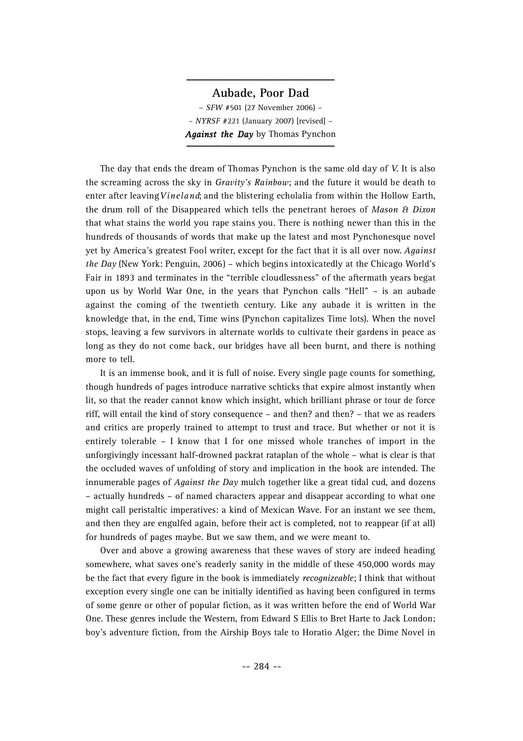#### **Aubade, Poor Dad**

**\_\_\_\_\_\_\_\_\_\_\_\_\_\_\_\_**

– *SFW* #501 (27 November 2006) – – *NYRSF* #221 (January 2007) [revised] – *Against the Day* by Thomas Pynchon **\_\_\_\_\_\_\_\_\_\_\_\_\_\_\_\_**

The day that ends the dream of Thomas Pynchon is the same old day of *V.* It is also the screaming across the sky in *Gravity's Rainbow*; and the future it would be death to enter after leaving *Vineland*; and the blistering echolalia from within the Hollow Earth, the drum roll of the Disappeared which tells the penetrant heroes of *Mason & Dixo n* that what stains the world you rape stains you. There is nothing newer than this in the hundreds of thousands of words that make up the latest and most Pynchonesque novel yet by America's greatest Fool writer, except for the fact that it is all over now. *Against the Day* (New York: Penguin, 2006) – which begins intoxicatedly at the Chicago World's Fair in 1893 and terminates in the "terrible cloudlessness" of the aftermath years begat upon us by World War One, in the years that Pynchon calls "Hell" – is an aubade against the coming of the twentieth century. Like any aubade it is written in the knowledge that, in the end, Time wins (Pynchon capitalizes Time lots). When the novel stops, leaving a few survivors in alternate worlds to cultivate their gardens in peace as long as they do not come back, our bridges have all been burnt, and there is nothing more to tell.

It is an immense book, and it is full of noise. Every single page counts for something, though hundreds of pages introduce narrative schticks that expire almost instantly when lit, so that the reader cannot know which insight, which brilliant phrase or tour de force riff, will entail the kind of story consequence – and then? and then? – that we as readers and critics are properly trained to attempt to trust and trace. But whether or not it is entirely tolerable – I know that I for one missed whole tranches of import in the unforgivingly incessant half-drowned packrat rataplan of the whole – what is clear is that the occluded waves of unfolding of story and implication in the book are intended. The innumerable pages of *Against the Day* mulch together like a great tidal cud, and dozens – actually hundreds – of named characters appear and disappear according to what one might call peristaltic imperatives: a kind of Mexican Wave. For an instant we see them, and then they are engulfed again, before their act is completed, not to reappear (if at all) for hundreds of pages maybe. But we saw them, and we were meant to.

Over and above a growing awareness that these waves of story are indeed heading somewhere, what saves one's readerly sanity in the middle of these 450,000 words may be the fact that every figure in the book is immediately *recognizeable*; I think that without exception every single one can be initially identified as having been configured in terms of some genre or other of popular fiction, as it was written before the end of World War One. These genres include the Western, from Edward S Ellis to Bret Harte to Jack London; boy's adventure fiction, from the Airship Boys tale to Horatio Alger; the Dime Novel in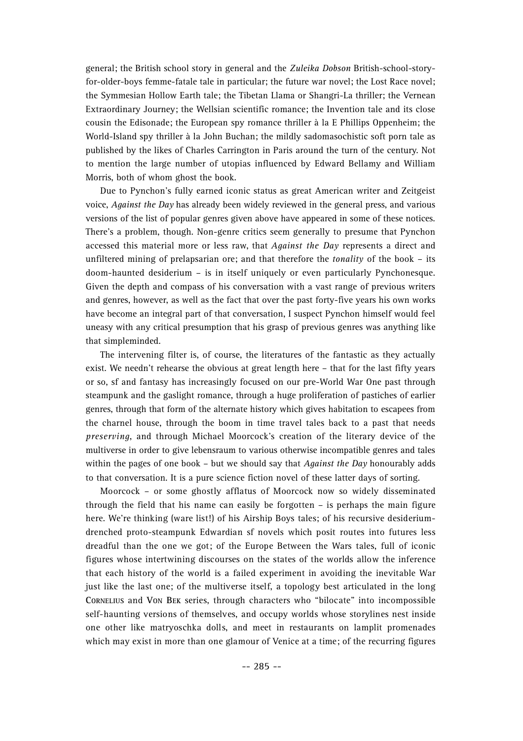general; the British school story in general and the *Zuleika Dobson* British-school-storyfor-older-boys femme-fatale tale in particular; the future war novel; the Lost Race novel; the Symmesian Hollow Earth tale; the Tibetan Llama or Shangri-La thriller; the Vernean Extraordinary Journey; the Wellsian scientific romance; the Invention tale and its close cousin the Edisonade; the European spy romance thriller à la E Phillips Oppenheim; the World-Island spy thriller à la John Buchan; the mildly sadomasochistic soft porn tale as published by the likes of Charles Carrington in Paris around the turn of the century. Not to mention the large number of utopias influenced by Edward Bellamy and William Morris, both of whom ghost the book.

Due to Pynchon's fully earned iconic status as great American writer and Zeitgeist voice, *Against the Day* has already been widely reviewed in the general press, and various versions of the list of popular genres given above have appeared in some of these notices. There's a problem, though. Non-genre critics seem generally to presume that Pynchon accessed this material more or less raw, that *Against the Day* represents a direct and unfiltered mining of prelapsarian ore; and that therefore the *tonality* of the book – its doom-haunted desiderium – is in itself uniquely or even particularly Pynchonesque. Given the depth and compass of his conversation with a vast range of previous writers and genres, however, as well as the fact that over the past forty-five years his own works have become an integral part of that conversation, I suspect Pynchon himself would feel uneasy with any critical presumption that his grasp of previous genres was anything like that simpleminded.

The intervening filter is, of course, the literatures of the fantastic as they actually exist. We needn't rehearse the obvious at great length here – that for the last fifty years or so, sf and fantasy has increasingly focused on our pre-World War One past through steampunk and the gaslight romance, through a huge proliferation of pastiches of earlier genres, through that form of the alternate history which gives habitation to escapees from the charnel house, through the boom in time travel tales back to a past that needs *preserving*, and through Michael Moorcock's creation of the literary device of the multiverse in order to give lebensraum to various otherwise incompatible genres and tales within the pages of one book – but we should say that *Against the Day* honourably adds to that conversation. It is a pure science fiction novel of these latter days of sorting.

Moorcock – or some ghostly afflatus of Moorcock now so widely disseminated through the field that his name can easily be forgotten – is perhaps the main figure here. We're thinking (ware list!) of his Airship Boys tales; of his recursive desideriumdrenched proto-steampunk Edwardian sf novels which posit routes into futures less dreadful than the one we got; of the Europe Between the Wars tales, full of iconic figures whose intertwining discourses on the states of the worlds allow the inference that each history of the world is a failed experiment in avoiding the inevitable War just like the last one; of the multiverse itself, a topology best articulated in the long **CORNELIUS and VON BEK series, through characters who "bilocate" into incompossible** self-haunting versions of themselves, and occupy worlds whose storylines nest inside one other like matryoschka dolls, and meet in restaurants on lamplit promenades which may exist in more than one glamour of Venice at a time; of the recurring figures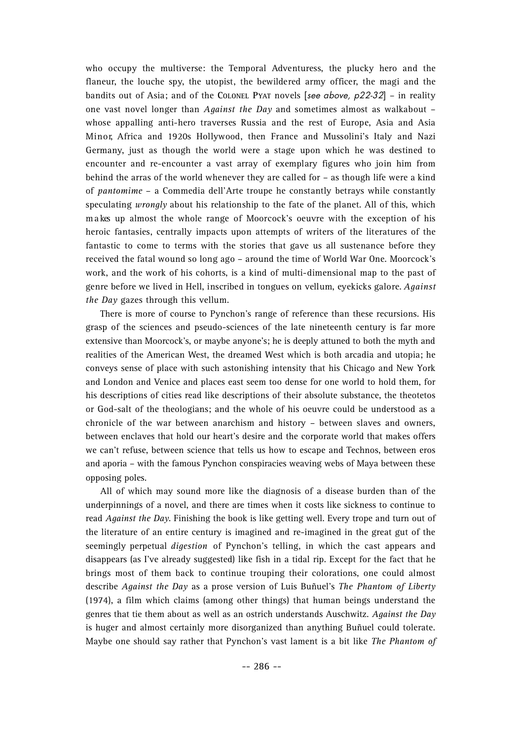who occupy the multiverse: the Temporal Adventuress, the plucky hero and the flaneur, the louche spy, the utopist, the bewildered army officer, the magi and the bandits out of Asia; and of the **COLONEL PYAT** novels [see above, p22-32] – in reality one vast novel longer than *Against the Day* and sometimes almost as walkabout – whose appalling anti-hero traverses Russia and the rest of Europe, Asia and Asia Minor, Africa and 1920s Hollywood, then France and Mussolini's Italy and Nazi Germany, just as though the world were a stage upon which he was destined to encounter and re-encounter a vast array of exemplary figures who join him from behind the arras of the world whenever they are called for – as though life were a kind of *pantomime* – a Commedia dell'Arte troupe he constantly betrays while constantly speculating *wrongly* about his relationship to the fate of the planet. All of this, which m a kes up almost the whole range of Moorcock's oeuvre with the exception of his heroic fantasies, centrally impacts upon attempts of writers of the literatures of the fantastic to come to terms with the stories that gave us all sustenance before they received the fatal wound so long ago – around the time of World War One. Moorcock's work, and the work of his cohorts, is a kind of multi-dimensional map to the past of genre before we lived in Hell, inscribed in tongues on vellum, eyekicks galore. *Against the Day* gazes through this vellum.

There is more of course to Pynchon's range of reference than these recursions. His grasp of the sciences and pseudo-sciences of the late nineteenth century is far more extensive than Moorcock's, or maybe anyone's; he is deeply attuned to both the myth and realities of the American West, the dreamed West which is both arcadia and utopia; he conveys sense of place with such astonishing intensity that his Chicago and New York and London and Venice and places east seem too dense for one world to hold them, for his descriptions of cities read like descriptions of their absolute substance, the theotetos or God-salt of the theologians; and the whole of his oeuvre could be understood as a chronicle of the war between anarchism and history – between slaves and owners, between enclaves that hold our heart's desire and the corporate world that makes offers we can't refuse, between science that tells us how to escape and Technos, between eros and aporia – with the famous Pynchon conspiracies weaving webs of Maya between these opposing poles.

All of which may sound more like the diagnosis of a disease burden than of the underpinnings of a novel, and there are times when it costs like sickness to continue to read *Against the Day*. Finishing the book is like getting well. Every trope and turn out of the literature of an entire century is imagined and re-imagined in the great gut of the seemingly perpetual *digestion* of Pynchon's telling, in which the cast appears and disappears (as I've already suggested) like fish in a tidal rip. Except for the fact that he brings most of them back to continue trouping their colorations, one could almost describe *Against the Day* as a prose version of Luis Buñuel's *The Phantom of Liberty* (1974), a film which claims (among other things) that human beings understand the genres that tie them about as well as an ostrich understands Auschwitz. *Against the Day* is huger and almost certainly more disorganized than anything Buñuel could tolerate. Maybe one should say rather that Pynchon's vast lament is a bit like *The Phantom of*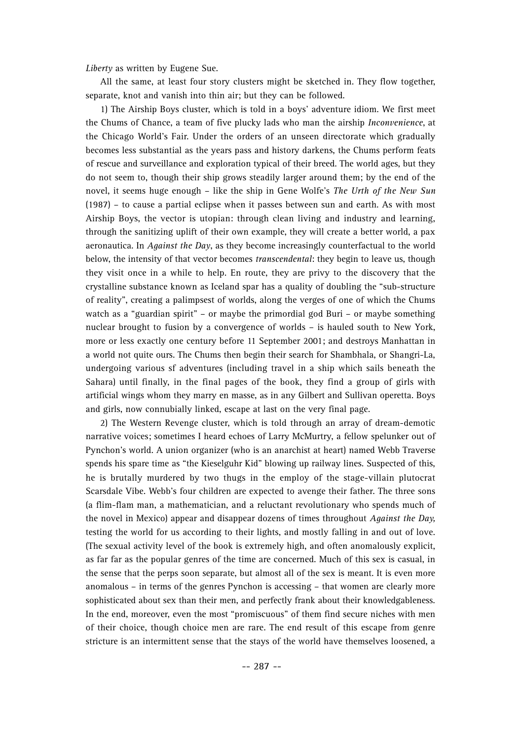*Liberty* as written by Eugene Sue.

All the same, at least four story clusters might be sketched in. They flow together, separate, knot and vanish into thin air; but they can be followed.

1) The Airship Boys cluster, which is told in a boys' adventure idiom. We first meet the Chums of Chance, a team of five plucky lads who man the airship *Inconvenience*, at the Chicago World's Fair. Under the orders of an unseen directorate which gradually becomes less substantial as the years pass and history darkens, the Chums perform feats of rescue and surveillance and exploration typical of their breed. The world ages, but they do not seem to, though their ship grows steadily larger around them; by the end of the novel, it seems huge enough – like the ship in Gene Wolfe's *The Urth of the New Sun* (1987) – to cause a partial eclipse when it passes between sun and earth. As with most Airship Boys, the vector is utopian: through clean living and industry and learning, through the sanitizing uplift of their own example, they will create a better world, a pax aeronautica. In *Against the Day*, as they become increasingly counterfactual to the world below, the intensity of that vector becomes *transcendental*: they begin to leave us, though they visit once in a while to help. En route, they are privy to the discovery that the crystalline substance known as Iceland spar has a quality of doubling the "sub-structure of reality", creating a palimpsest of worlds, along the verges of one of which the Chums watch as a "guardian spirit" – or maybe the primordial god Buri – or maybe something nuclear brought to fusion by a convergence of worlds – is hauled south to New York, more or less exactly one century before 11 September 2001; and destroys Manhattan in a world not quite ours. The Chums then begin their search for Shambhala, or Shangri-La, undergoing various sf adventures (including travel in a ship which sails beneath the Sahara) until finally, in the final pages of the book, they find a group of girls with artificial wings whom they marry en masse, as in any Gilbert and Sullivan operetta. Boys and girls, now connubially linked, escape at last on the very final page.

2) The Western Revenge cluster, which is told through an array of dream-demotic narrative voices; sometimes I heard echoes of Larry McMurtry, a fellow spelunker out of Pynchon's world. A union organizer (who is an anarchist at heart) named Webb Traverse spends his spare time as "the Kieselguhr Kid" blowing up railway lines. Suspected of this, he is brutally murdered by two thugs in the employ of the stage-villain plutocrat Scarsdale Vibe. Webb's four children are expected to avenge their father. The three sons (a flim-flam man, a mathematician, and a reluctant revolutionary who spends much of the novel in Mexico) appear and disappear dozens of times throughout *Against the Day,* testing the world for us according to their lights, and mostly falling in and out of love. (The sexual activity level of the book is extremely high, and often anomalously explicit, as far far as the popular genres of the time are concerned. Much of this sex is casual, in the sense that the perps soon separate, but almost all of the sex is meant. It is even more anomalous – in terms of the genres Pynchon is accessing – that women are clearly more sophisticated about sex than their men, and perfectly frank about their knowledgableness. In the end, moreover, even the most "promiscuous" of them find secure niches with men of their choice, though choice men are rare. The end result of this escape from genre stricture is an intermittent sense that the stays of the world have themselves loosened, a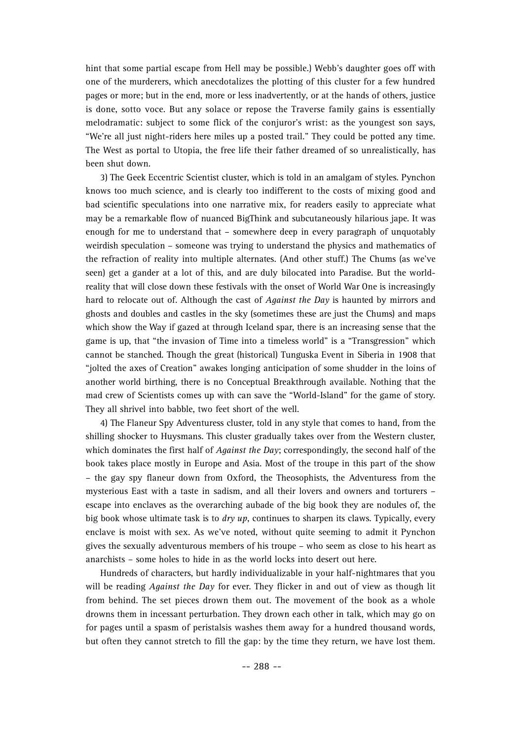hint that some partial escape from Hell may be possible.) Webb's daughter goes off with one of the murderers, which anecdotalizes the plotting of this cluster for a few hundred pages or more; but in the end, more or less inadvertently, or at the hands of others, justice is done, sotto voce. But any solace or repose the Traverse family gains is essentially melodramatic: subject to some flick of the conjuror's wrist: as the youngest son says, "We're all just night-riders here miles up a posted trail." They could be potted any time. The West as portal to Utopia, the free life their father dreamed of so unrealistically, has been shut down.

3) The Geek Eccentric Scientist cluster, which is told in an amalgam of styles. Pynchon knows too much science, and is clearly too indifferent to the costs of mixing good and bad scientific speculations into one narrative mix, for readers easily to appreciate what may be a remarkable flow of nuanced BigThink and subcutaneously hilarious jape. It was enough for me to understand that – somewhere deep in every paragraph of unquotably weirdish speculation – someone was trying to understand the physics and mathematics of the refraction of reality into multiple alternates. (And other stuff.) The Chums (as we've seen) get a gander at a lot of this, and are duly bilocated into Paradise. But the worldreality that will close down these festivals with the onset of World War One is increasingly hard to relocate out of. Although the cast of *Against the Day* is haunted by mirrors and ghosts and doubles and castles in the sky (sometimes these are just the Chums) and maps which show the Way if gazed at through Iceland spar, there is an increasing sense that the game is up, that "the invasion of Time into a timeless world" is a "Transgression" which cannot be stanched. Though the great (historical) Tunguska Event in Siberia in 1908 that "jolted the axes of Creation" awakes longing anticipation of some shudder in the loins of another world birthing, there is no Conceptual Breakthrough available. Nothing that the mad crew of Scientists comes up with can save the "World-Island" for the game of story. They all shrivel into babble, two feet short of the well.

4) The Flaneur Spy Adventuress cluster, told in any style that comes to hand, from the shilling shocker to Huysmans. This cluster gradually takes over from the Western cluster, which dominates the first half of *Against the Day*; correspondingly, the second half of the book takes place mostly in Europe and Asia. Most of the troupe in this part of the show – the gay spy flaneur down from Oxford, the Theosophists, the Adventuress from the mysterious East with a taste in sadism, and all their lovers and owners and torturers – escape into enclaves as the overarching aubade of the big book they are nodules of, the big book whose ultimate task is to *dry up*, continues to sharpen its claws. Typically, every enclave is moist with sex. As we've noted, without quite seeming to admit it Pynchon gives the sexually adventurous members of his troupe – who seem as close to his heart as anarchists – some holes to hide in as the world locks into desert out here.

Hundreds of characters, but hardly individualizable in your half-nightmares that you will be reading *Against the Day* for ever. They flicker in and out of view as though lit from behind. The set pieces drown them out. The movement of the book as a whole drowns them in incessant perturbation. They drown each other in talk, which may go on for pages until a spasm of peristalsis washes them away for a hundred thousand words, but often they cannot stretch to fill the gap: by the time they return, we have lost them.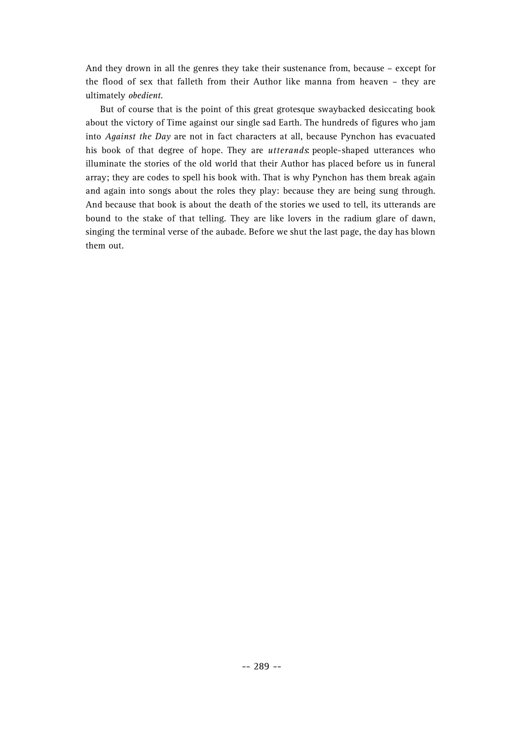And they drown in all the genres they take their sustenance from, because – except for the flood of sex that falleth from their Author like manna from heaven – they are ultimately *obedient*.

But of course that is the point of this great grotesque swaybacked desiccating book about the victory of Time against our single sad Earth. The hundreds of figures who jam into *Against the Day* are not in fact characters at all, because Pynchon has evacuated his book of that degree of hope. They are *utterands* people-shaped utterances who illuminate the stories of the old world that their Author has placed before us in funeral array; they are codes to spell his book with. That is why Pynchon has them break again and again into songs about the roles they play: because they are being sung through. And because that book is about the death of the stories we used to tell, its utterands are bound to the stake of that telling. They are like lovers in the radium glare of dawn, singing the terminal verse of the aubade. Before we shut the last page, the day has blown them out.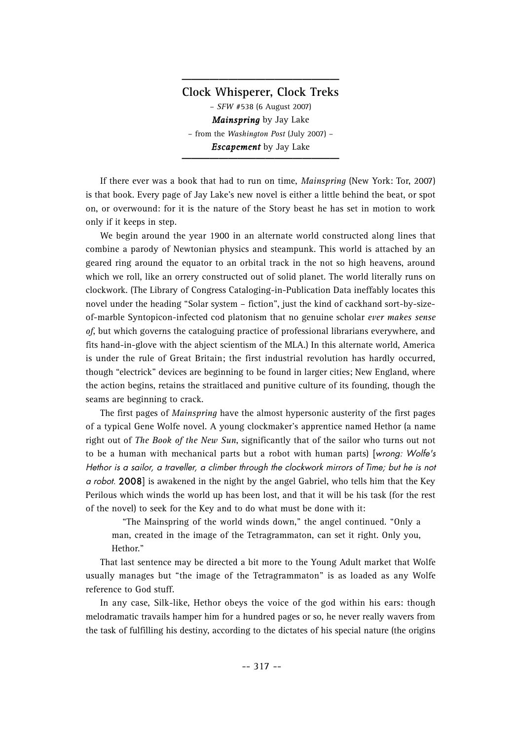**Clock Whisperer, Clock Treks** – *SFW* #538 (6 August 2007) *Mainspring* by Jay Lake – from the *Washington Post* (July 2007) – *Escapement* by Jay Lake

**\_\_\_\_\_\_\_\_\_\_\_\_\_\_\_\_\_**

If there ever was a book that had to run on time, *Mainspring* (New York: Tor, 2007) is that book. Every page of Jay Lake's new novel is either a little behind the beat, or spot on, or overwound: for it is the nature of the Story beast he has set in motion to work only if it keeps in step.

We begin around the year 1900 in an alternate world constructed along lines that combine a parody of Newtonian physics and steampunk. This world is attached by an geared ring around the equator to an orbital track in the not so high heavens, around which we roll, like an orrery constructed out of solid planet. The world literally runs on clockwork. (The Library of Congress Cataloging-in-Publication Data ineffably locates this novel under the heading "Solar system – fiction", just the kind of cackhand sort-by-sizeof-marble Syntopicon-infected cod platonism that no genuine scholar *ever makes sense of*, but which governs the cataloguing practice of professional librarians everywhere, and fits hand-in-glove with the abject scientism of the MLA.) In this alternate world, America is under the rule of Great Britain; the first industrial revolution has hardly occurred, though "electrick" devices are beginning to be found in larger cities; New England, where the action begins, retains the straitlaced and punitive culture of its founding, though the seams are beginning to crack.

The first pages of *Mainspring* have the almost hypersonic austerity of the first pages of a typical Gene Wolfe novel. A young clockmaker's apprentice named Hethor (a name right out of *The Book of the New Sun*, significantly that of the sailor who turns out not to be a human with mechanical parts but a robot with human parts) [wrong: Wolfe's Hethor is a sailor, a traveller, a climber through the clockwork mirrors of Time; but he is not a robot. 2008] is awakened in the night by the angel Gabriel, who tells him that the Key Perilous which winds the world up has been lost, and that it will be his task (for the rest of the novel) to seek for the Key and to do what must be done with it:

"The Mainspring of the world winds down," the angel continued. "Only a man, created in the image of the Tetragrammaton, can set it right. Only you, Hethor."

That last sentence may be directed a bit more to the Young Adult market that Wolfe usually manages but "the image of the Tetragrammaton" is as loaded as any Wolfe reference to God stuff.

In any case, Silk-like, Hethor obeys the voice of the god within his ears: though melodramatic travails hamper him for a hundred pages or so, he never really wavers from the task of fulfilling his destiny, according to the dictates of his special nature (the origins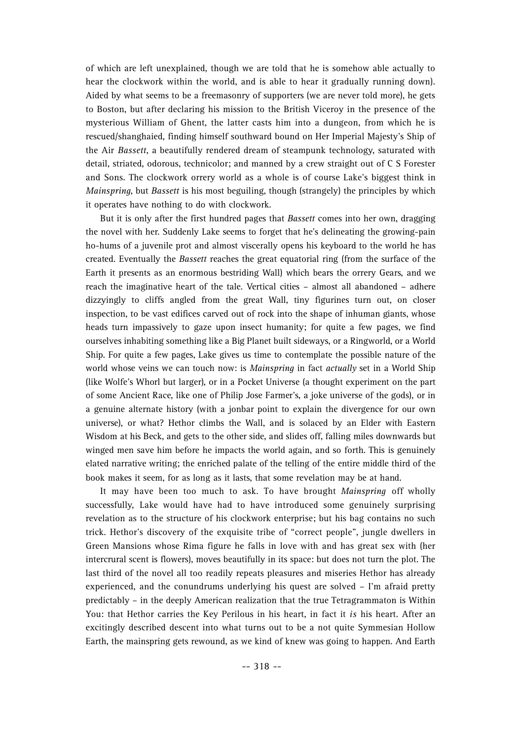of which are left unexplained, though we are told that he is somehow able actually to hear the clockwork within the world, and is able to hear it gradually running down). Aided by what seems to be a freemasonry of supporters (we are never told more), he gets to Boston, but after declaring his mission to the British Viceroy in the presence of the mysterious William of Ghent, the latter casts him into a dungeon, from which he is rescued/shanghaied, finding himself southward bound on Her Imperial Majesty's Ship of the Air *Bassett*, a beautifully rendered dream of steampunk technology, saturated with detail, striated, odorous, technicolor; and manned by a crew straight out of C S Forester and Sons. The clockwork orrery world as a whole is of course Lake's biggest think in *Mainspring*, but *Bassett* is his most beguiling, though (strangely) the principles by which it operates have nothing to do with clockwork.

But it is only after the first hundred pages that *Bassett* comes into her own, dragging the novel with her. Suddenly Lake seems to forget that he's delineating the growing-pain ho-hums of a juvenile prot and almost viscerally opens his keyboard to the world he has created. Eventually the *Bassett* reaches the great equatorial ring (from the surface of the Earth it presents as an enormous bestriding Wall) which bears the orrery Gears, and we reach the imaginative heart of the tale. Vertical cities – almost all abandoned – adhere dizzyingly to cliffs angled from the great Wall, tiny figurines turn out, on closer inspection, to be vast edifices carved out of rock into the shape of inhuman giants, whose heads turn impassively to gaze upon insect humanity; for quite a few pages, we find ourselves inhabiting something like a Big Planet built sideways, or a Ringworld, or a World Ship. For quite a few pages, Lake gives us time to contemplate the possible nature of the world whose veins we can touch now: is *Mainspring* in fact *actually* set in a World Ship (like Wolfe's Whorl but larger), or in a Pocket Universe (a thought experiment on the part of some Ancient Race, like one of Philip Jose Farmer's, a joke universe of the gods), or in a genuine alternate history (with a jonbar point to explain the divergence for our own universe), or what? Hethor climbs the Wall, and is solaced by an Elder with Eastern Wisdom at his Beck, and gets to the other side, and slides off, falling miles downwards but winged men save him before he impacts the world again, and so forth. This is genuinely elated narrative writing; the enriched palate of the telling of the entire middle third of the book makes it seem, for as long as it lasts, that some revelation may be at hand.

It may have been too much to ask. To have brought *Mainspring* off wholly successfully, Lake would have had to have introduced some genuinely surprising revelation as to the structure of his clockwork enterprise; but his bag contains no such trick. Hethor's discovery of the exquisite tribe of "correct people", jungle dwellers in Green Mansions whose Rima figure he falls in love with and has great sex with (her intercrural scent is flowers), moves beautifully in its space: but does not turn the plot. The last third of the novel all too readily repeats pleasures and miseries Hethor has already experienced, and the conundrums underlying his quest are solved – I'm afraid pretty predictably – in the deeply American realization that the true Tetragrammaton is Within You: that Hethor carries the Key Perilous in his heart, in fact it *is* his heart. After an excitingly described descent into what turns out to be a not quite Symmesian Hollow Earth, the mainspring gets rewound, as we kind of knew was going to happen. And Earth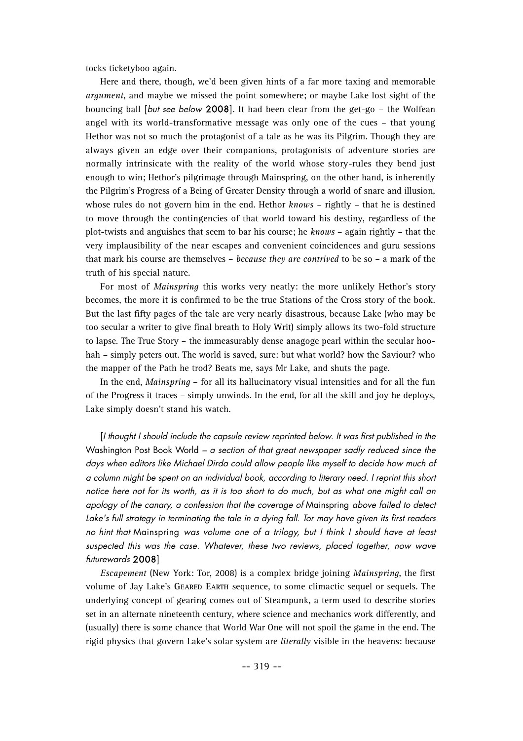tocks ticketyboo again.

Here and there, though, we'd been given hints of a far more taxing and memorable *argument*, and maybe we missed the point somewhere; or maybe Lake lost sight of the bouncing ball [but see below 2008]. It had been clear from the get-go - the Wolfean angel with its world-transformative message was only one of the cues – that young Hethor was not so much the protagonist of a tale as he was its Pilgrim. Though they are always given an edge over their companions, protagonists of adventure stories are normally intrinsicate with the reality of the world whose story-rules they bend just enough to win; Hethor's pilgrimage through Mainspring, on the other hand, is inherently the Pilgrim's Progress of a Being of Greater Density through a world of snare and illusion, whose rules do not govern him in the end. Hethor *knows* – rightly – that he is destined to move through the contingencies of that world toward his destiny, regardless of the plot-twists and anguishes that seem to bar his course; he *knows* – again rightly – that the very implausibility of the near escapes and convenient coincidences and guru sessions that mark his course are themselves – *because they are contrived* to be so – a mark of the truth of his special nature.

For most of *Mainspring* this works very neatly: the more unlikely Hethor's story becomes, the more it is confirmed to be the true Stations of the Cross story of the book. But the last fifty pages of the tale are very nearly disastrous, because Lake (who may be too secular a writer to give final breath to Holy Writ) simply allows its two-fold structure to lapse. The True Story – the immeasurably dense anagoge pearl within the secular hoohah – simply peters out. The world is saved, sure: but what world? how the Saviour? who the mapper of the Path he trod? Beats me, says Mr Lake, and shuts the page.

In the end, *Mainspring* – for all its hallucinatory visual intensities and for all the fun of the Progress it traces – simply unwinds. In the end, for all the skill and joy he deploys, Lake simply doesn't stand his watch.

[I thought I should include the capsule review reprinted below. It was first published in the Washington Post Book World –  $a$  section of that great newspaper sadly reduced since the days when editors like Michael Dirda could allow people like myself to decide how much of a column might be spent on an individual book, according to literary need. I reprint this short notice here not for its worth, as it is too short to do much, but as what one might call an apology of the canary, a confession that the coverage of Mainspring above failed to detect Lake's full strategy in terminating the tale in a dying fall. Tor may have given its first readers no hint that Mainspring was volume one of a trilogy, but I think I should have at least suspected this was the case. Whatever, these two reviews, placed together, now wave futurewards 2008]

*Escapement* (New York: Tor, 2008) is a complex bridge joining *Mainspring*, the first volume of Jay Lake's **GEARED EARTH** sequence, to some climactic sequel or sequels. The underlying concept of gearing comes out of Steampunk, a term used to describe stories set in an alternate nineteenth century, where science and mechanics work differently, and (usually) there is some chance that World War One will not spoil the game in the end. The rigid physics that govern Lake's solar system are *literally* visible in the heavens: because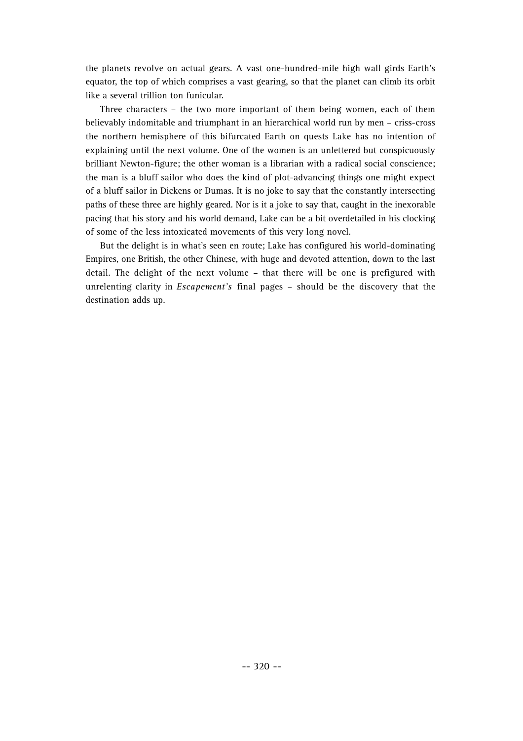the planets revolve on actual gears. A vast one-hundred-mile high wall girds Earth's equator, the top of which comprises a vast gearing, so that the planet can climb its orbit like a several trillion ton funicular.

Three characters – the two more important of them being women, each of them believably indomitable and triumphant in an hierarchical world run by men – criss-cross the northern hemisphere of this bifurcated Earth on quests Lake has no intention of explaining until the next volume. One of the women is an unlettered but conspicuously brilliant Newton-figure; the other woman is a librarian with a radical social conscience; the man is a bluff sailor who does the kind of plot-advancing things one might expect of a bluff sailor in Dickens or Dumas. It is no joke to say that the constantly intersecting paths of these three are highly geared. Nor is it a joke to say that, caught in the inexorable pacing that his story and his world demand, Lake can be a bit overdetailed in his clocking of some of the less intoxicated movements of this very long novel.

But the delight is in what's seen en route; Lake has configured his world-dominating Empires, one British, the other Chinese, with huge and devoted attention, down to the last detail. The delight of the next volume – that there will be one is prefigured with unrelenting clarity in *Escapement's* final pages – should be the discovery that the destination adds up.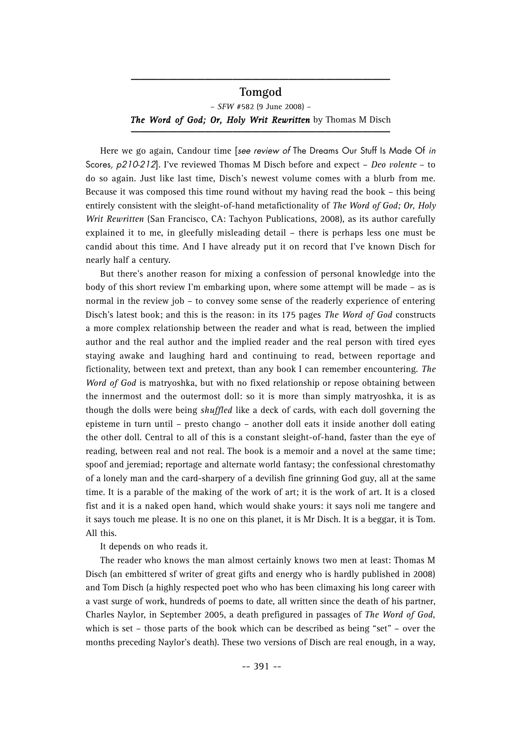#### **Tomgod**

**\_\_\_\_\_\_\_\_\_\_\_\_\_\_\_\_\_\_\_\_\_\_\_\_\_\_\_\_**

– *SFW* #582 (9 June 2008) – *The Word of God; Or, Holy Writ Rewritten* **by Thomas M Disch** 

Here we go again, Candour time [see review of The Dreams Our Stuff Is Made Of in Scores, p210-212]. I've reviewed Thomas M Disch before and expect – *Deo volente* – to do so again. Just like last time, Disch's newest volume comes with a blurb from me. Because it was composed this time round without my having read the book – this being entirely consistent with the sleight-of-hand metafictionality of *The Word of God; Or, Holy Writ Rewritten* (San Francisco, CA: Tachyon Publications, 2008), as its author carefully explained it to me, in gleefully misleading detail – there is perhaps less one must be candid about this time. And I have already put it on record that I've known Disch for nearly half a century.

But there's another reason for mixing a confession of personal knowledge into the body of this short review I'm embarking upon, where some attempt will be made – as is normal in the review job – to convey some sense of the readerly experience of entering Disch's latest book; and this is the reason: in its 175 pages *The Word of God* constructs a more complex relationship between the reader and what is read, between the implied author and the real author and the implied reader and the real person with tired eyes staying awake and laughing hard and continuing to read, between reportage and fictionality, between text and pretext, than any book I can remember encountering. *The Word of God* is matryoshka, but with no fixed relationship or repose obtaining between the innermost and the outermost doll: so it is more than simply matryoshka, it is as though the dolls were being *shuffled* like a deck of cards, with each doll governing the episteme in turn until – presto chango – another doll eats it inside another doll eating the other doll. Central to all of this is a constant sleight-of-hand, faster than the eye of reading, between real and not real. The book is a memoir and a novel at the same time; spoof and jeremiad; reportage and alternate world fantasy; the confessional chrestomathy of a lonely man and the card-sharpery of a devilish fine grinning God guy, all at the same time. It is a parable of the making of the work of art; it is the work of art. It is a closed fist and it is a naked open hand, which would shake yours: it says noli me tangere and it says touch me please. It is no one on this planet, it is Mr Disch. It is a beggar, it is Tom. All this.

It depends on who reads it.

The reader who knows the man almost certainly knows two men at least: Thomas M Disch (an embittered sf writer of great gifts and energy who is hardly published in 2008) and Tom Disch (a highly respected poet who who has been climaxing his long career with a vast surge of work, hundreds of poems to date, all written since the death of his partner, Charles Naylor, in September 2005, a death prefigured in passages of *The Word of God,* which is set – those parts of the book which can be described as being "set" – over the months preceding Naylor's death). These two versions of Disch are real enough, in a way,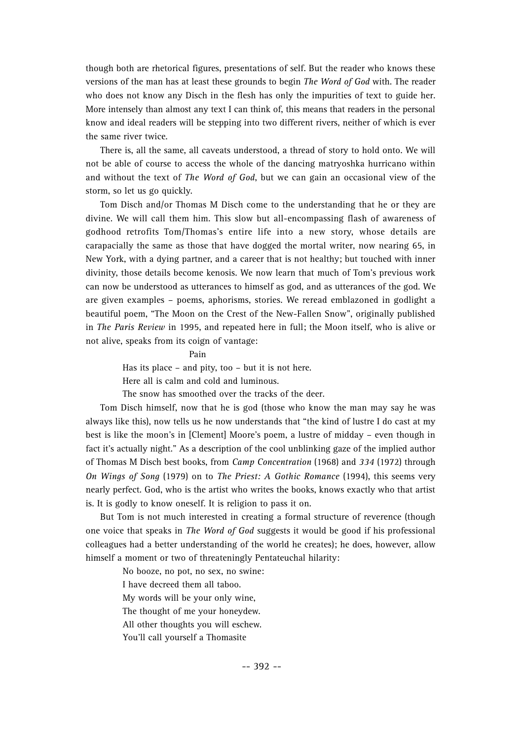though both are rhetorical figures, presentations of self. But the reader who knows these versions of the man has at least these grounds to begin *The Word of God* with. The reader who does not know any Disch in the flesh has only the impurities of text to guide her. More intensely than almost any text I can think of, this means that readers in the personal know and ideal readers will be stepping into two different rivers, neither of which is ever the same river twice.

There is, all the same, all caveats understood, a thread of story to hold onto. We will not be able of course to access the whole of the dancing matryoshka hurricano within and without the text of *The Word of God*, but we can gain an occasional view of the storm, so let us go quickly.

Tom Disch and/or Thomas M Disch come to the understanding that he or they are divine. We will call them him. This slow but all-encompassing flash of awareness of godhood retrofits Tom/Thomas's entire life into a new story, whose details are carapacially the same as those that have dogged the mortal writer, now nearing 65, in New York, with a dying partner, and a career that is not healthy; but touched with inner divinity, those details become kenosis. We now learn that much of Tom's previous work can now be understood as utterances to himself as god, and as utterances of the god. We are given examples – poems, aphorisms, stories. We reread emblazoned in godlight a beautiful poem, "The Moon on the Crest of the New-Fallen Snow", originally published in *The Paris Review* in 1995, and repeated here in full; the Moon itself, who is alive or not alive, speaks from its coign of vantage:

> Pain Has its place – and pity, too – but it is not here. Here all is calm and cold and luminous.

The snow has smoothed over the tracks of the deer.

Tom Disch himself, now that he is god (those who know the man may say he was always like this), now tells us he now understands that "the kind of lustre I do cast at my best is like the moon's in [Clement] Moore's poem, a lustre of midday – even though in fact it's actually night." As a description of the cool unblinking gaze of the implied author of Thomas M Disch best books, from *Camp Concentration* (1968) and *334* (1972) through *On Wings of Song* (1979) on to *The Priest: A Gothic Romance* (1994), this seems very nearly perfect. God, who is the artist who writes the books, knows exactly who that artist is. It is godly to know oneself. It is religion to pass it on.

But Tom is not much interested in creating a formal structure of reverence (though one voice that speaks in *The Word of God* suggests it would be good if his professional colleagues had a better understanding of the world he creates); he does, however, allow himself a moment or two of threateningly Pentateuchal hilarity:

> No booze, no pot, no sex, no swine: I have decreed them all taboo. My words will be your only wine, The thought of me your honeydew. All other thoughts you will eschew. You'll call yourself a Thomasite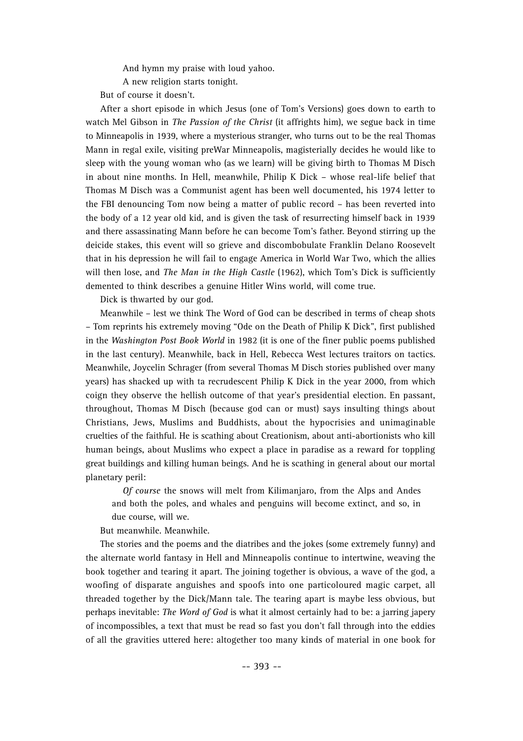And hymn my praise with loud yahoo.

A new religion starts tonight.

But of course it doesn't.

After a short episode in which Jesus (one of Tom's Versions) goes down to earth to watch Mel Gibson in *The Passion of the Christ* (it affrights him), we segue back in time to Minneapolis in 1939, where a mysterious stranger, who turns out to be the real Thomas Mann in regal exile, visiting preWar Minneapolis, magisterially decides he would like to sleep with the young woman who (as we learn) will be giving birth to Thomas M Disch in about nine months. In Hell, meanwhile, Philip K Dick – whose real-life belief that Thomas M Disch was a Communist agent has been well documented, his 1974 letter to the FBI denouncing Tom now being a matter of public record – has been reverted into the body of a 12 year old kid, and is given the task of resurrecting himself back in 1939 and there assassinating Mann before he can become Tom's father. Beyond stirring up the deicide stakes, this event will so grieve and discombobulate Franklin Delano Roosevelt that in his depression he will fail to engage America in World War Two, which the allies will then lose, and *The Man in the High Castle* (1962), which Tom's Dick is sufficiently demented to think describes a genuine Hitler Wins world, will come true.

Dick is thwarted by our god.

Meanwhile – lest we think The Word of God can be described in terms of cheap shots – Tom reprints his extremely moving "Ode on the Death of Philip K Dick", first published in the *Washington Post Book World* in 1982 (it is one of the finer public poems published in the last century). Meanwhile, back in Hell, Rebecca West lectures traitors on tactics. Meanwhile, Joycelin Schrager (from several Thomas M Disch stories published over many years) has shacked up with ta recrudescent Philip K Dick in the year 2000, from which coign they observe the hellish outcome of that year's presidential election. En passant, throughout, Thomas M Disch (because god can or must) says insulting things about Christians, Jews, Muslims and Buddhists, about the hypocrisies and unimaginable cruelties of the faithful. He is scathing about Creationism, about anti-abortionists who kill human beings, about Muslims who expect a place in paradise as a reward for toppling great buildings and killing human beings. And he is scathing in general about our mortal planetary peril:

*Of course* the snows will melt from Kilimanjaro, from the Alps and Andes and both the poles, and whales and penguins will become extinct, and so, in due course, will we.

But meanwhile. Meanwhile.

The stories and the poems and the diatribes and the jokes (some extremely funny) and the alternate world fantasy in Hell and Minneapolis continue to intertwine, weaving the book together and tearing it apart. The joining together is obvious, a wave of the god, a woofing of disparate anguishes and spoofs into one particoloured magic carpet, all threaded together by the Dick/Mann tale. The tearing apart is maybe less obvious, but perhaps inevitable: *The Word of God* is what it almost certainly had to be: a jarring japery of incompossibles, a text that must be read so fast you don't fall through into the eddies of all the gravities uttered here: altogether too many kinds of material in one book for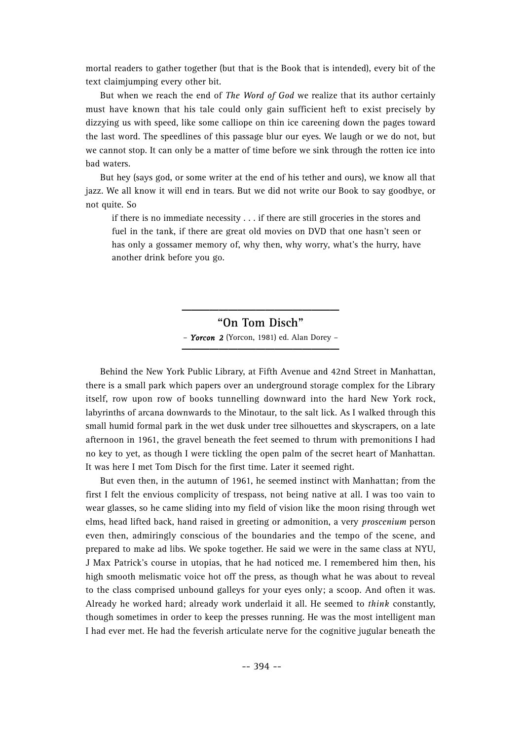mortal readers to gather together (but that is the Book that is intended), every bit of the text claimjumping every other bit.

But when we reach the end of *The Word of God* we realize that its author certainly must have known that his tale could only gain sufficient heft to exist precisely by dizzying us with speed, like some calliope on thin ice careening down the pages toward the last word. The speedlines of this passage blur our eyes. We laugh or we do not, but we cannot stop. It can only be a matter of time before we sink through the rotten ice into bad waters.

But hey (says god, or some writer at the end of his tether and ours), we know all that jazz. We all know it will end in tears. But we did not write our Book to say goodbye, or not quite. So

if there is no immediate necessity . . . if there are still groceries in the stores and fuel in the tank, if there are great old movies on DVD that one hasn't seen or has only a gossamer memory of, why then, why worry, what's the hurry, have another drink before you go.

### **"On Tom Disch"**

**\_\_\_\_\_\_\_\_\_\_\_\_\_\_\_\_\_**

– *Yorcon 2* (Yorcon, 1981) ed. Alan Dorey – **\_\_\_\_\_\_\_\_\_\_\_\_\_\_\_\_\_**

Behind the New York Public Library, at Fifth Avenue and 42nd Street in Manhattan, there is a small park which papers over an underground storage complex for the Library itself, row upon row of books tunnelling downward into the hard New York rock, labyrinths of arcana downwards to the Minotaur, to the salt lick. As I walked through this small humid formal park in the wet dusk under tree silhouettes and skyscrapers, on a late afternoon in 1961, the gravel beneath the feet seemed to thrum with premonitions I had no key to yet, as though I were tickling the open palm of the secret heart of Manhattan. It was here I met Tom Disch for the first time. Later it seemed right.

But even then, in the autumn of 1961, he seemed instinct with Manhattan; from the first I felt the envious complicity of trespass, not being native at all. I was too vain to wear glasses, so he came sliding into my field of vision like the moon rising through wet elms, head lifted back, hand raised in greeting or admonition, a very *proscenium* person even then, admiringly conscious of the boundaries and the tempo of the scene, and prepared to make ad libs. We spoke together. He said we were in the same class at NYU, J Max Patrick's course in utopias, that he had noticed me. I remembered him then, his high smooth melismatic voice hot off the press, as though what he was about to reveal to the class comprised unbound galleys for your eyes only; a scoop. And often it was. Already he worked hard; already work underlaid it all. He seemed to *think* constantly, though sometimes in order to keep the presses running. He was the most intelligent man I had ever met. He had the feverish articulate nerve for the cognitive jugular beneath the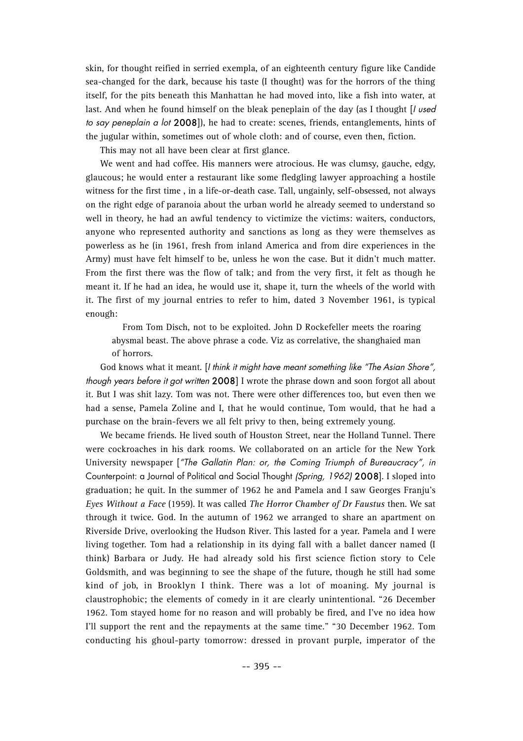skin, for thought reified in serried exempla, of an eighteenth century figure like Candide sea-changed for the dark, because his taste (I thought) was for the horrors of the thing itself, for the pits beneath this Manhattan he had moved into, like a fish into water, at last. And when he found himself on the bleak peneplain of the day (as I thought [I used to say peneplain a lot  $2008$ ]), he had to create: scenes, friends, entanglements, hints of the jugular within, sometimes out of whole cloth: and of course, even then, fiction.

This may not all have been clear at first glance.

We went and had coffee. His manners were atrocious. He was clumsy, gauche, edgy, glaucous; he would enter a restaurant like some fledgling lawyer approaching a hostile witness for the first time , in a life-or-death case. Tall, ungainly, self-obsessed, not always on the right edge of paranoia about the urban world he already seemed to understand so well in theory, he had an awful tendency to victimize the victims: waiters, conductors, anyone who represented authority and sanctions as long as they were themselves as powerless as he (in 1961, fresh from inland America and from dire experiences in the Army) must have felt himself to be, unless he won the case. But it didn't much matter. From the first there was the flow of talk; and from the very first, it felt as though he meant it. If he had an idea, he would use it, shape it, turn the wheels of the world with it. The first of my journal entries to refer to him, dated 3 November 1961, is typical enough:

From Tom Disch, not to be exploited. John D Rockefeller meets the roaring abysmal beast. The above phrase a code. Viz as correlative, the shanghaied man of horrors.

God knows what it meant. If think it might have meant something like "The Asian Shore", though years before it got written 2008] I wrote the phrase down and soon forgot all about it. But I was shit lazy. Tom was not. There were other differences too, but even then we had a sense, Pamela Zoline and I, that he would continue, Tom would, that he had a purchase on the brain-fevers we all felt privy to then, being extremely young.

We became friends. He lived south of Houston Street, near the Holland Tunnel. There were cockroaches in his dark rooms. We collaborated on an article for the New York University newspaper ["The Gallatin Plan: or, the Coming Triumph of Bureaucracy", in Counterpoint: a Journal of Political and Social Thought (Spring, 1962) 2008]. I sloped into graduation; he quit. In the summer of 1962 he and Pamela and I saw Georges Franju's *Eyes Without a Face* (1959). It was called *The Horror Chamber of Dr Faustus* then. We sat through it twice. God. In the autumn of 1962 we arranged to share an apartment on Riverside Drive, overlooking the Hudson River. This lasted for a year. Pamela and I were living together. Tom had a relationship in its dying fall with a ballet dancer named (I think) Barbara or Judy. He had already sold his first science fiction story to Cele Goldsmith, and was beginning to see the shape of the future, though he still had some kind of job, in Brooklyn I think. There was a lot of moaning. My journal is claustrophobic; the elements of comedy in it are clearly unintentional. "26 December 1962. Tom stayed home for no reason and will probably be fired, and I've no idea how I'll support the rent and the repayments at the same time." "30 December 1962. Tom conducting his ghoul-party tomorrow: dressed in provant purple, imperator of the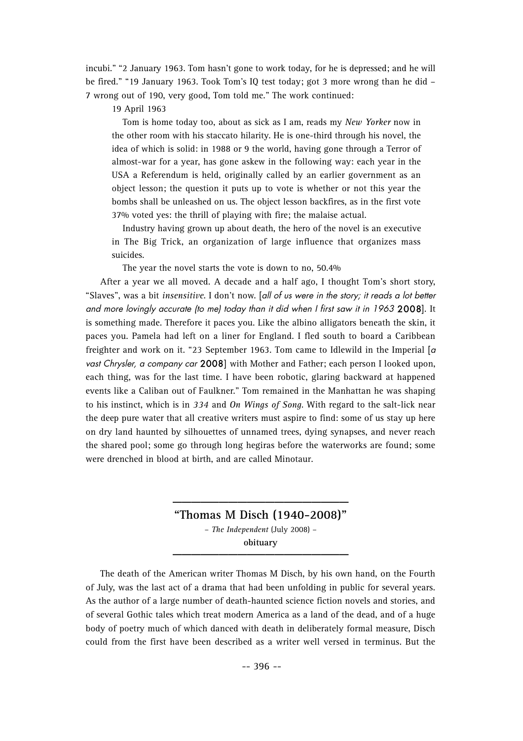incubi." "2 January 1963. Tom hasn't gone to work today, for he is depressed; and he will be fired." "19 January 1963. Took Tom's IQ test today; got 3 more wrong than he did – 7 wrong out of 190, very good, Tom told me." The work continued:

19 April 1963

Tom is home today too, about as sick as I am, reads my *New Yorker* now in the other room with his staccato hilarity. He is one-third through his novel, the idea of which is solid: in 1988 or 9 the world, having gone through a Terror of almost-war for a year, has gone askew in the following way: each year in the USA a Referendum is held, originally called by an earlier government as an object lesson; the question it puts up to vote is whether or not this year the bombs shall be unleashed on us. The object lesson backfires, as in the first vote 37% voted yes: the thrill of playing with fire; the malaise actual.

Industry having grown up about death, the hero of the novel is an executive in The Big Trick, an organization of large influence that organizes mass suicides.

The year the novel starts the vote is down to no, 50.4%

After a year we all moved. A decade and a half ago, I thought Tom's short story, "Slaves", was a bit *insensitive*. I don't now. [all of us were in the story; it reads a lot better and more lovingly accurate (to me) today than it did when I first saw it in 1963 2008]. It is something made. Therefore it paces you. Like the albino alligators beneath the skin, it paces you. Pamela had left on a liner for England. I fled south to board a Caribbean freighter and work on it. "23 September 1963. Tom came to Idlewild in the Imperial  $\sigma$ vast Chrysler, a company car 2008] with Mother and Father; each person I looked upon, each thing, was for the last time. I have been robotic, glaring backward at happened events like a Caliban out of Faulkner." Tom remained in the Manhattan he was shaping to his instinct, which is in *334* and *On Wings of Song*. With regard to the salt-lick near the deep pure water that all creative writers must aspire to find: some of us stay up here on dry land haunted by silhouettes of unnamed trees, dying synapses, and never reach the shared pool; some go through long hegiras before the waterworks are found; some were drenched in blood at birth, and are called Minotaur.

**"Thomas M Disch (1940-2008)"** – *The Independent* (July 2008) – **obituary with a set of the set of the set of the set of the set of the set of the set of the set of the set of the set of the set of the set of the set of the set of the set of the set of the set of the set of the set o** 

**\_\_\_\_\_\_\_\_\_\_\_\_\_\_\_\_\_\_\_**

The death of the American writer Thomas M Disch, by his own hand, on the Fourth of July, was the last act of a drama that had been unfolding in public for several years. As the author of a large number of death-haunted science fiction novels and stories, and of several Gothic tales which treat modern America as a land of the dead, and of a huge body of poetry much of which danced with death in deliberately formal measure, Disch could from the first have been described as a writer well versed in terminus. But the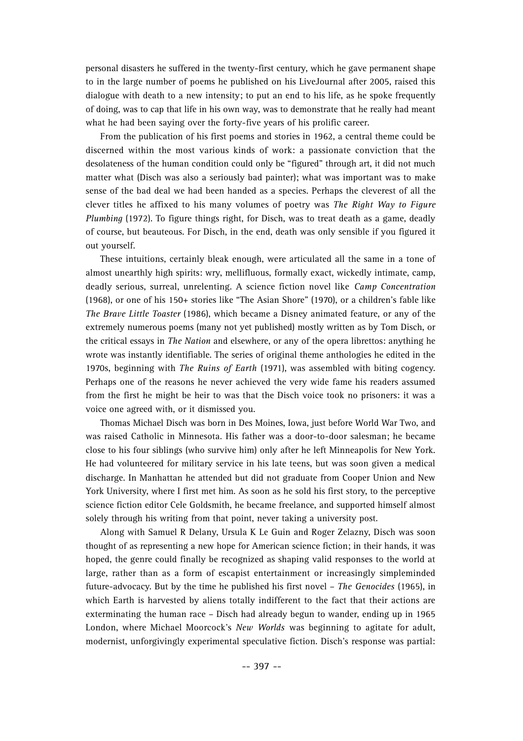personal disasters he suffered in the twenty-first century, which he gave permanent shape to in the large number of poems he published on his LiveJournal after 2005, raised this dialogue with death to a new intensity; to put an end to his life, as he spoke frequently of doing, was to cap that life in his own way, was to demonstrate that he really had meant what he had been saying over the forty-five years of his prolific career.

From the publication of his first poems and stories in 1962, a central theme could be discerned within the most various kinds of work: a passionate conviction that the desolateness of the human condition could only be "figured" through art, it did not much matter what (Disch was also a seriously bad painter); what was important was to make sense of the bad deal we had been handed as a species. Perhaps the cleverest of all the clever titles he affixed to his many volumes of poetry was *The Right Way to Figure Plumbing* (1972). To figure things right, for Disch, was to treat death as a game, deadly of course, but beauteous. For Disch, in the end, death was only sensible if you figured it out yourself.

These intuitions, certainly bleak enough, were articulated all the same in a tone of almost unearthly high spirits: wry, mellifluous, formally exact, wickedly intimate, camp, deadly serious, surreal, unrelenting. A science fiction novel like *Camp Concentration* (1968), or one of his 150+ stories like "The Asian Shore" (1970), or a children's fable like *The Brave Little Toaster* (1986), which became a Disney animated feature, or any of the extremely numerous poems (many not yet published) mostly written as by Tom Disch, or the critical essays in *The Nation* and elsewhere, or any of the opera librettos: anything he wrote was instantly identifiable. The series of original theme anthologies he edited in the 1970s, beginning with *The Ruins of Earth* (1971), was assembled with biting cogency. Perhaps one of the reasons he never achieved the very wide fame his readers assumed from the first he might be heir to was that the Disch voice took no prisoners: it was a voice one agreed with, or it dismissed you.

Thomas Michael Disch was born in Des Moines, Iowa, just before World War Two, and was raised Catholic in Minnesota. His father was a door-to-door salesman; he became close to his four siblings (who survive him) only after he left Minneapolis for New York. He had volunteered for military service in his late teens, but was soon given a medical discharge. In Manhattan he attended but did not graduate from Cooper Union and New York University, where I first met him. As soon as he sold his first story, to the perceptive science fiction editor Cele Goldsmith, he became freelance, and supported himself almost solely through his writing from that point, never taking a university post.

Along with Samuel R Delany, Ursula K Le Guin and Roger Zelazny, Disch was soon thought of as representing a new hope for American science fiction; in their hands, it was hoped, the genre could finally be recognized as shaping valid responses to the world at large, rather than as a form of escapist entertainment or increasingly simpleminded future-advocacy. But by the time he published his first novel – *The Genocides* (1965), in which Earth is harvested by aliens totally indifferent to the fact that their actions are exterminating the human race – Disch had already begun to wander, ending up in 1965 London, where Michael Moorcock's *New Worlds* was beginning to agitate for adult, modernist, unforgivingly experimental speculative fiction. Disch's response was partial: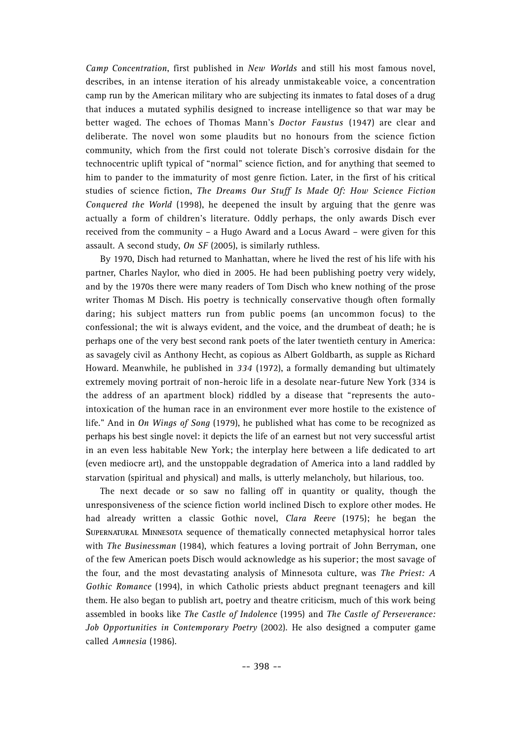*Camp Concentration*, first published in *New Worlds* and still his most famous novel, describes, in an intense iteration of his already unmistakeable voice, a concentration camp run by the American military who are subjecting its inmates to fatal doses of a drug that induces a mutated syphilis designed to increase intelligence so that war may be better waged. The echoes of Thomas Mann's *Doctor Faustus* (1947) are clear and deliberate. The novel won some plaudits but no honours from the science fiction community, which from the first could not tolerate Disch's corrosive disdain for the technocentric uplift typical of "normal" science fiction, and for anything that seemed to him to pander to the immaturity of most genre fiction. Later, in the first of his critical studies of science fiction, *The Dreams Our Stuff Is Made Of: How Science Fiction Conquered the World* (1998), he deepened the insult by arguing that the genre was actually a form of children's literature. Oddly perhaps, the only awards Disch ever received from the community – a Hugo Award and a Locus Award – were given for this assault. A second study, *On SF* (2005), is similarly ruthless.

By 1970, Disch had returned to Manhattan, where he lived the rest of his life with his partner, Charles Naylor, who died in 2005. He had been publishing poetry very widely, and by the 1970s there were many readers of Tom Disch who knew nothing of the prose writer Thomas M Disch. His poetry is technically conservative though often formally daring; his subject matters run from public poems (an uncommon focus) to the confessional; the wit is always evident, and the voice, and the drumbeat of death; he is perhaps one of the very best second rank poets of the later twentieth century in America: as savagely civil as Anthony Hecht, as copious as Albert Goldbarth, as supple as Richard Howard. Meanwhile, he published in *334* (1972), a formally demanding but ultimately extremely moving portrait of non-heroic life in a desolate near-future New York (334 is the address of an apartment block) riddled by a disease that "represents the autointoxication of the human race in an environment ever more hostile to the existence of life." And in *On Wings of Song* (1979), he published what has come to be recognized as perhaps his best single novel: it depicts the life of an earnest but not very successful artist in an even less habitable New York; the interplay here between a life dedicated to art (even mediocre art), and the unstoppable degradation of America into a land raddled by starvation (spiritual and physical) and malls, is utterly melancholy, but hilarious, too.

The next decade or so saw no falling off in quantity or quality, though the unresponsiveness of the science fiction world inclined Disch to explore other modes. He had already written a classic Gothic novel, *Clara Reeve* (1975); he began the SUPERNATURAL MINNESOTA sequence of thematically connected metaphysical horror tales with *The Businessman* (1984), which features a loving portrait of John Berryman, one of the few American poets Disch would acknowledge as his superior; the most savage of the four, and the most devastating analysis of Minnesota culture, was *The Priest: A Gothic Romance* (1994), in which Catholic priests abduct pregnant teenagers and kill them. He also began to publish art, poetry and theatre criticism, much of this work being assembled in books like *The Castle of Indolence* (1995) and *The Castle of Perseverance*: *Job Opportunities in Contemporary Poetry* (2002). He also designed a computer game called *Amnesia* (1986).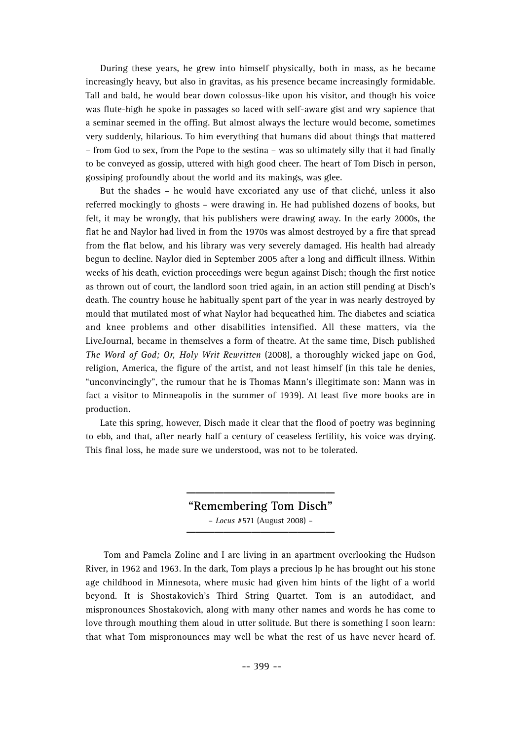During these years, he grew into himself physically, both in mass, as he became increasingly heavy, but also in gravitas, as his presence became increasingly formidable. Tall and bald, he would bear down colossus-like upon his visitor, and though his voice was flute-high he spoke in passages so laced with self-aware gist and wry sapience that a seminar seemed in the offing. But almost always the lecture would become, sometimes very suddenly, hilarious. To him everything that humans did about things that mattered – from God to sex, from the Pope to the sestina – was so ultimately silly that it had finally to be conveyed as gossip, uttered with high good cheer. The heart of Tom Disch in person, gossiping profoundly about the world and its makings, was glee.

But the shades – he would have excoriated any use of that cliché, unless it also referred mockingly to ghosts – were drawing in. He had published dozens of books, but felt, it may be wrongly, that his publishers were drawing away. In the early 2000s, the flat he and Naylor had lived in from the 1970s was almost destroyed by a fire that spread from the flat below, and his library was very severely damaged. His health had already begun to decline. Naylor died in September 2005 after a long and difficult illness. Within weeks of his death, eviction proceedings were begun against Disch; though the first notice as thrown out of court, the landlord soon tried again, in an action still pending at Disch's death. The country house he habitually spent part of the year in was nearly destroyed by mould that mutilated most of what Naylor had bequeathed him. The diabetes and sciatica and knee problems and other disabilities intensified. All these matters, via the LiveJournal, became in themselves a form of theatre. At the same time, Disch published *The Word of God; Or, Holy Writ Rewritten* (2008), a thoroughly wicked jape on God, religion, America, the figure of the artist, and not least himself (in this tale he denies, "unconvincingly", the rumour that he is Thomas Mann's illegitimate son: Mann was in fact a visitor to Minneapolis in the summer of 1939). At least five more books are in production.

Late this spring, however, Disch made it clear that the flood of poetry was beginning to ebb, and that, after nearly half a century of ceaseless fertility, his voice was drying. This final loss, he made sure we understood, was not to be tolerated.

> **"Remembering Tom Disch"** – *Locus* #571 (August 2008) – **\_\_\_\_\_\_\_\_\_\_\_\_\_\_\_\_**

> **\_\_\_\_\_\_\_\_\_\_\_\_\_\_\_\_**

Tom and Pamela Zoline and I are living in an apartment overlooking the Hudson River, in 1962 and 1963. In the dark, Tom plays a precious lp he has brought out his stone age childhood in Minnesota, where music had given him hints of the light of a world beyond. It is Shostakovich's Third String Quartet. Tom is an autodidact, and mispronounces Shostakovich, along with many other names and words he has come to love through mouthing them aloud in utter solitude. But there is something I soon learn: that what Tom mispronounces may well be what the rest of us have never heard of.